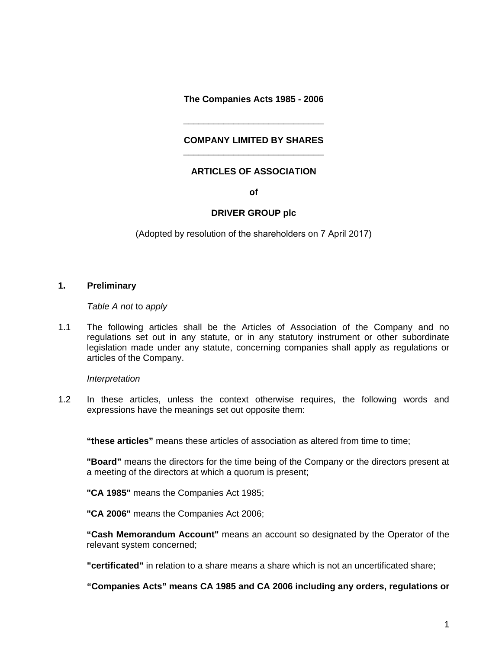**The Companies Acts 1985 - 2006** 

## **COMPANY LIMITED BY SHARES**  \_\_\_\_\_\_\_\_\_\_\_\_\_\_\_\_\_\_\_\_\_\_\_\_\_\_\_\_

\_\_\_\_\_\_\_\_\_\_\_\_\_\_\_\_\_\_\_\_\_\_\_\_\_\_\_\_

# **ARTICLES OF ASSOCIATION**

**of** 

## **DRIVER GROUP plc**

(Adopted by resolution of the shareholders on 7 April 2017)

# **1. Preliminary**

*Table A not* to *apply*

1.1 The following articles shall be the Articles of Association of the Company and no regulations set out in any statute, or in any statutory instrument or other subordinate legislation made under any statute, concerning companies shall apply as regulations or articles of the Company.

## *Interpretation*

1.2 In these articles, unless the context otherwise requires, the following words and expressions have the meanings set out opposite them:

**"these articles"** means these articles of association as altered from time to time;

**"Board"** means the directors for the time being of the Company or the directors present at a meeting of the directors at which a quorum is present;

**"CA 1985"** means the Companies Act 1985;

**"CA 2006"** means the Companies Act 2006;

**"Cash Memorandum Account"** means an account so designated by the Operator of the relevant system concerned;

**"certificated"** in relation to a share means a share which is not an uncertificated share;

**"Companies Acts" means CA 1985 and CA 2006 including any orders, regulations or**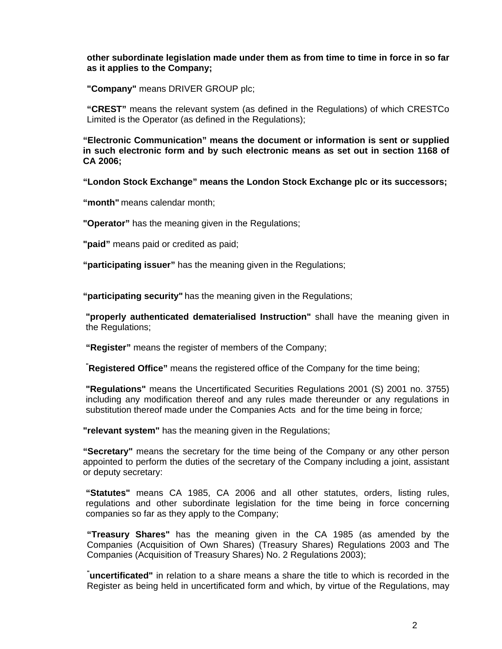# **other subordinate legislation made under them as from time to time in force in so far as it applies to the Company;**

**"Company"** means DRIVER GROUP plc;

**"CREST"** means the relevant system (as defined in the Regulations) of which CRESTCo Limited is the Operator (as defined in the Regulations);

**"Electronic Communication" means the document or information is sent or supplied in such electronic form and by such electronic means as set out in section 1168 of CA 2006;** 

**"London Stock Exchange" means the London Stock Exchange plc or its successors;** 

**"month"** means calendar month;

**"Operator"** has the meaning given in the Regulations;

**"paid"** means paid or credited as paid;

**"participating issuer"** has the meaning given in the Regulations;

**"participating security"** has the meaning given in the Regulations;

**"properly authenticated dematerialised Instruction"** shall have the meaning given in the Regulations;

**"Register"** means the register of members of the Company;

**" Registered Office"** means the registered office of the Company for the time being;

**"Regulations"** means the Uncertificated Securities Regulations 2001 (S) 2001 no. 3755) including any modification thereof and any rules made thereunder or any regulations in substitution thereof made under the Companies Acts and for the time being in force*;* 

**"relevant system"** has the meaning given in the Regulations;

**"Secretary"** means the secretary for the time being of the Company or any other person appointed to perform the duties of the secretary of the Company including a joint, assistant or deputy secretary:

**"Statutes"** means CA 1985, CA 2006 and all other statutes, orders, listing rules, regulations and other subordinate legislation for the time being in force concerning companies so far as they apply to the Company;

**"Treasury Shares"** has the meaning given in the CA 1985 (as amended by the Companies (Acquisition of Own Shares) (Treasury Shares) Regulations 2003 and The Companies (Acquisition of Treasury Shares) No. 2 Regulations 2003);

**" uncertificated"** in relation to a share means a share the title to which is recorded in the Register as being held in uncertificated form and which, by virtue of the Regulations, may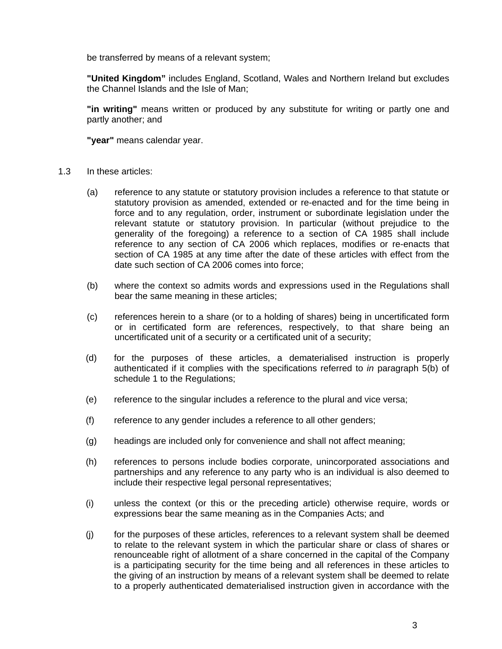be transferred by means of a relevant system;

**"United Kingdom"** includes England, Scotland, Wales and Northern Ireland but excludes the Channel Islands and the Isle of Man;

**"in writing"** means written or produced by any substitute for writing or partly one and partly another; and

**"year"** means calendar year.

- 1.3 In these articles:
	- (a) reference to any statute or statutory provision includes a reference to that statute or statutory provision as amended, extended or re-enacted and for the time being in force and to any regulation, order, instrument or subordinate legislation under the relevant statute or statutory provision. In particular (without prejudice to the generality of the foregoing) a reference to a section of CA 1985 shall include reference to any section of CA 2006 which replaces, modifies or re-enacts that section of CA 1985 at any time after the date of these articles with effect from the date such section of CA 2006 comes into force;
	- (b) where the context so admits words and expressions used in the Regulations shall bear the same meaning in these articles;
	- (c) references herein to a share (or to a holding of shares) being in uncertificated form or in certificated form are references, respectively, to that share being an uncertificated unit of a security or a certificated unit of a security;
	- (d) for the purposes of these articles, a dematerialised instruction is properly authenticated if it complies with the specifications referred to *in* paragraph 5(b) of schedule 1 to the Regulations;
	- (e) reference to the singular includes a reference to the plural and vice versa;
	- (f) reference to any gender includes a reference to all other genders;
	- (g) headings are included only for convenience and shall not affect meaning;
	- (h) references to persons include bodies corporate, unincorporated associations and partnerships and any reference to any party who is an individual is also deemed to include their respective legal personal representatives;
	- (i) unless the context (or this or the preceding article) otherwise require, words or expressions bear the same meaning as in the Companies Acts; and
	- (j) for the purposes of these articles, references to a relevant system shall be deemed to relate to the relevant system in which the particular share or class of shares or renounceable right of allotment of a share concerned in the capital of the Company is a participating security for the time being and all references in these articles to the giving of an instruction by means of a relevant system shall be deemed to relate to a properly authenticated dematerialised instruction given in accordance with the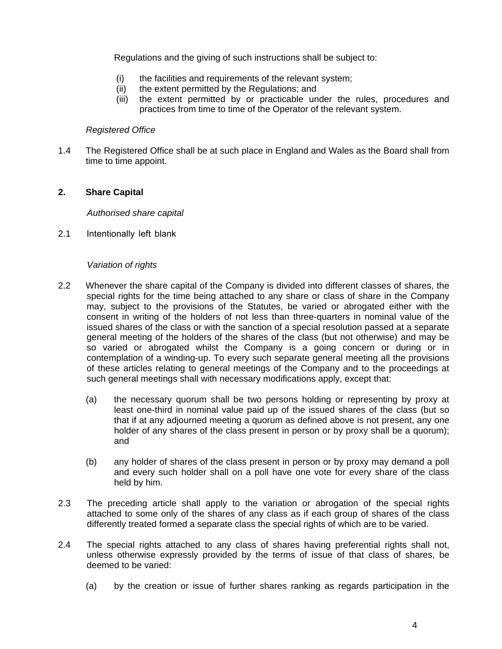Regulations and the giving of such instructions shall be subject to:

- (i) the facilities and requirements of the relevant system;
- (ii) the extent permitted by the Regulations; and
- (iii) the extent permitted by or practicable under the rules, procedures and practices from time to time of the Operator of the relevant system.

## *Registered Office*

1.4 The Registered Office shall be at such place in England and Wales as the Board shall from time to time appoint.

# **2. Share Capital**

*Authorised share capital*

2.1 Intentionally left blank

# *Variation of rights*

- 2.2 Whenever the share capital of the Company is divided into different classes of shares, the special rights for the time being attached to any share or class of share in the Company may, subject to the provisions of the Statutes, be varied or abrogated either with the consent in writing of the holders of not less than three-quarters in nominal value of the issued shares of the class or with the sanction of a special resolution passed at a separate general meeting of the holders of the shares of the class (but not otherwise) and may be so varied or abrogated whilst the Company is a going concern or during or in contemplation of a winding-up. To every such separate general meeting all the provisions of these articles relating to general meetings of the Company and to the proceedings at such general meetings shall with necessary modifications apply, except that:
	- (a) the necessary quorum shall be two persons holding or representing by proxy at least one-third in nominal value paid up of the issued shares of the class (but so that if at any adjourned meeting a quorum as defined above is not present, any one holder of any shares of the class present in person or by proxy shall be a quorum); and
	- (b) any holder of shares of the class present in person or by proxy may demand a poll and every such holder shall on a poll have one vote for every share of the class held by him.
- 2.3 The preceding article shall apply to the variation or abrogation of the special rights attached to some only of the shares of any class as if each group of shares of the class differently treated formed a separate class the special rights of which are to be varied.
- 2.4 The special rights attached to any class of shares having preferential rights shall not, unless otherwise expressly provided by the terms of issue of that class of shares, be deemed to be varied:
	- (a) by the creation or issue of further shares ranking as regards participation in the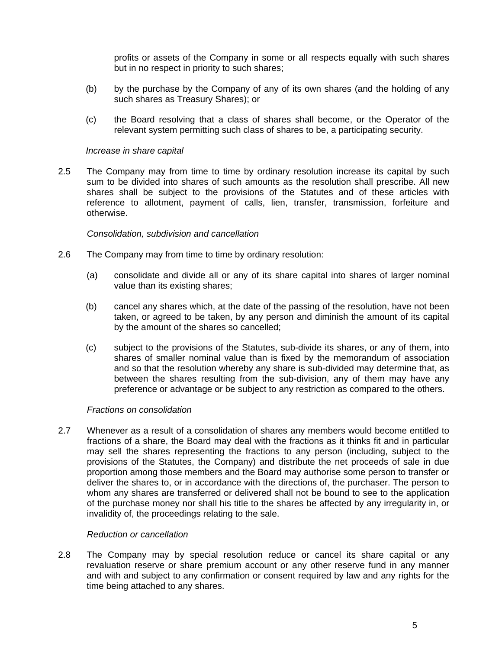profits or assets of the Company in some or all respects equally with such shares but in no respect in priority to such shares;

- (b) by the purchase by the Company of any of its own shares (and the holding of any such shares as Treasury Shares); or
- (c) the Board resolving that a class of shares shall become, or the Operator of the relevant system permitting such class of shares to be, a participating security.

#### *Increase in share capital*

2.5 The Company may from time to time by ordinary resolution increase its capital by such sum to be divided into shares of such amounts as the resolution shall prescribe. All new shares shall be subject to the provisions of the Statutes and of these articles with reference to allotment, payment of calls, lien, transfer, transmission, forfeiture and otherwise.

#### *Consolidation, subdivision and cancellation*

- 2.6 The Company may from time to time by ordinary resolution:
	- (a) consolidate and divide all or any of its share capital into shares of larger nominal value than its existing shares;
	- (b) cancel any shares which, at the date of the passing of the resolution, have not been taken, or agreed to be taken, by any person and diminish the amount of its capital by the amount of the shares so cancelled;
	- (c) subject to the provisions of the Statutes, sub-divide its shares, or any of them, into shares of smaller nominal value than is fixed by the memorandum of association and so that the resolution whereby any share is sub-divided may determine that, as between the shares resulting from the sub-division, any of them may have any preference or advantage or be subject to any restriction as compared to the others.

#### *Fractions on consolidation*

2.7 Whenever as a result of a consolidation of shares any members would become entitled to fractions of a share, the Board may deal with the fractions as it thinks fit and in particular may sell the shares representing the fractions to any person (including, subject to the provisions of the Statutes, the Company) and distribute the net proceeds of sale in due proportion among those members and the Board may authorise some person to transfer or deliver the shares to, or in accordance with the directions of, the purchaser. The person to whom any shares are transferred or delivered shall not be bound to see to the application of the purchase money nor shall his title to the shares be affected by any irregularity in, or invalidity of, the proceedings relating to the sale.

#### *Reduction or cancellation*

2.8 The Company may by special resolution reduce or cancel its share capital or any revaluation reserve or share premium account or any other reserve fund in any manner and with and subject to any confirmation or consent required by law and any rights for the time being attached to any shares.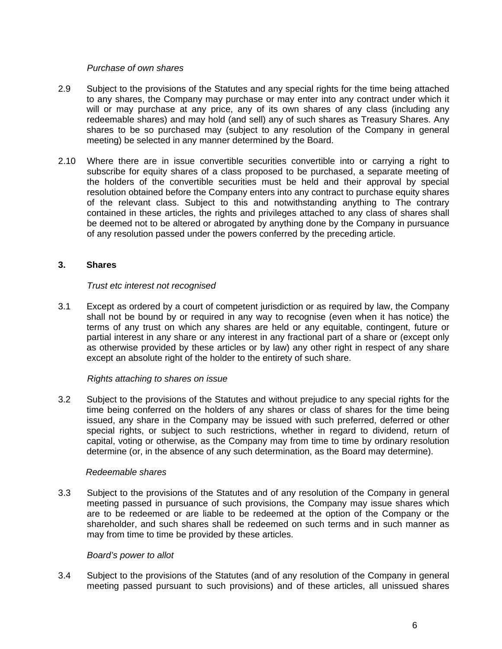## *Purchase of own shares*

- 2.9 Subject to the provisions of the Statutes and any special rights for the time being attached to any shares, the Company may purchase or may enter into any contract under which it will or may purchase at any price, any of its own shares of any class (including any redeemable shares) and may hold (and sell) any of such shares as Treasury Shares. Any shares to be so purchased may (subject to any resolution of the Company in general meeting) be selected in any manner determined by the Board.
- 2.10 Where there are in issue convertible securities convertible into or carrying a right to subscribe for equity shares of a class proposed to be purchased, a separate meeting of the holders of the convertible securities must be held and their approval by special resolution obtained before the Company enters into any contract to purchase equity shares of the relevant class. Subject to this and notwithstanding anything to The contrary contained in these articles, the rights and privileges attached to any class of shares shall be deemed not to be altered or abrogated by anything done by the Company in pursuance of any resolution passed under the powers conferred by the preceding article.

# **3. Shares**

# *Trust etc interest not recognised*

3.1 Except as ordered by a court of competent jurisdiction or as required by law, the Company shall not be bound by or required in any way to recognise (even when it has notice) the terms of any trust on which any shares are held or any equitable, contingent, future or partial interest in any share or any interest in any fractional part of a share or (except only as otherwise provided by these articles or by law) any other right in respect of any share except an absolute right of the holder to the entirety of such share.

## *Rights attaching to shares on issue*

3.2 Subject to the provisions of the Statutes and without prejudice to any special rights for the time being conferred on the holders of any shares or class of shares for the time being issued, any share in the Company may be issued with such preferred, deferred or other special rights, or subject to such restrictions, whether in regard to dividend, return of capital, voting or otherwise, as the Company may from time to time by ordinary resolution determine (or, in the absence of any such determination, as the Board may determine).

## *Redeemable shares*

3.3 Subject to the provisions of the Statutes and of any resolution of the Company in general meeting passed in pursuance of such provisions, the Company may issue shares which are to be redeemed or are liable to be redeemed at the option of the Company or the shareholder, and such shares shall be redeemed on such terms and in such manner as may from time to time be provided by these articles.

## *Board's power to allot*

3.4 Subject to the provisions of the Statutes (and of any resolution of the Company in general meeting passed pursuant to such provisions) and of these articles, all unissued shares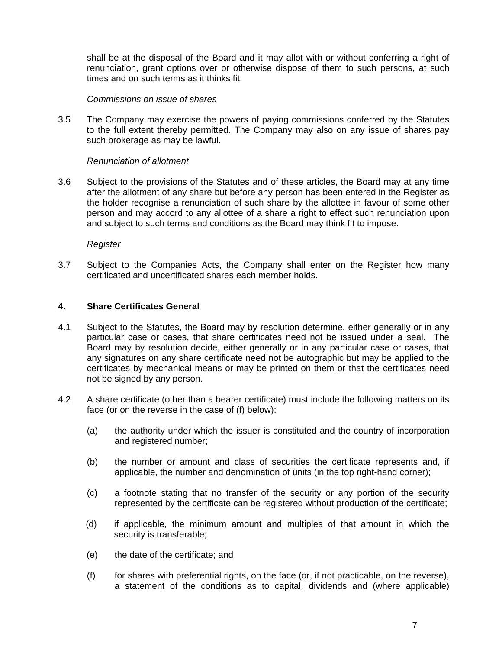shall be at the disposal of the Board and it may allot with or without conferring a right of renunciation, grant options over or otherwise dispose of them to such persons, at such times and on such terms as it thinks fit.

## *Commissions on issue of shares*

3.5 The Company may exercise the powers of paying commissions conferred by the Statutes to the full extent thereby permitted. The Company may also on any issue of shares pay such brokerage as may be lawful.

# *Renunciation of allotment*

3.6 Subject to the provisions of the Statutes and of these articles, the Board may at any time after the allotment of any share but before any person has been entered in the Register as the holder recognise a renunciation of such share by the allottee in favour of some other person and may accord to any allottee of a share a right to effect such renunciation upon and subject to such terms and conditions as the Board may think fit to impose.

*Register* 

3.7 Subject to the Companies Acts, the Company shall enter on the Register how many certificated and uncertificated shares each member holds.

# **4. Share Certificates General**

- 4.1 Subject to the Statutes, the Board may by resolution determine, either generally or in any particular case or cases, that share certificates need not be issued under a seal. The Board may by resolution decide, either generally or in any particular case or cases, that any signatures on any share certificate need not be autographic but may be applied to the certificates by mechanical means or may be printed on them or that the certificates need not be signed by any person.
- 4.2 A share certificate (other than a bearer certificate) must include the following matters on its face (or on the reverse in the case of (f) below):
	- (a) the authority under which the issuer is constituted and the country of incorporation and registered number;
	- (b) the number or amount and class of securities the certificate represents and, if applicable, the number and denomination of units (in the top right-hand corner);
	- (c) a footnote stating that no transfer of the security or any portion of the security represented by the certificate can be registered without production of the certificate;
	- (d) if applicable, the minimum amount and multiples of that amount in which the security is transferable;
	- (e) the date of the certificate; and
	- (f) for shares with preferential rights, on the face (or, if not practicable, on the reverse), a statement of the conditions as to capital, dividends and (where applicable)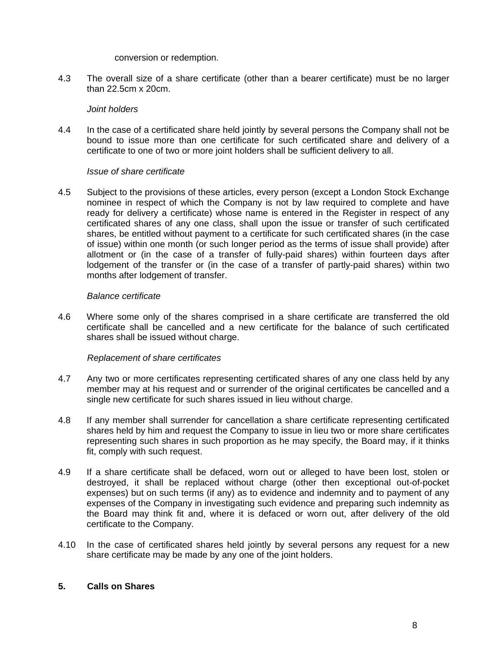#### conversion or redemption.

4.3 The overall size of a share certificate (other than a bearer certificate) must be no larger than 22.5cm x 20cm.

# *Joint holders*

4.4 In the case of a certificated share held jointly by several persons the Company shall not be bound to issue more than one certificate for such certificated share and delivery of a certificate to one of two or more joint holders shall be sufficient delivery to all.

# *Issue of share certificate*

4.5 Subject to the provisions of these articles, every person (except a London Stock Exchange nominee in respect of which the Company is not by law required to complete and have ready for delivery a certificate) whose name is entered in the Register in respect of any certificated shares of any one class, shall upon the issue or transfer of such certificated shares, be entitled without payment to a certificate for such certificated shares (in the case of issue) within one month (or such longer period as the terms of issue shall provide) after allotment or (in the case of a transfer of fully-paid shares) within fourteen days after lodgement of the transfer or (in the case of a transfer of partly-paid shares) within two months after lodgement of transfer.

# *Balance certificate*

4.6 Where some only of the shares comprised in a share certificate are transferred the old certificate shall be cancelled and a new certificate for the balance of such certificated shares shall be issued without charge.

# *Replacement of share certificates*

- 4.7 Any two or more certificates representing certificated shares of any one class held by any member may at his request and or surrender of the original certificates be cancelled and a single new certificate for such shares issued in lieu without charge.
- 4.8 If any member shall surrender for cancellation a share certificate representing certificated shares held by him and request the Company to issue in lieu two or more share certificates representing such shares in such proportion as he may specify, the Board may, if it thinks fit, comply with such request.
- 4.9 If a share certificate shall be defaced, worn out or alleged to have been lost, stolen or destroyed, it shall be replaced without charge (other then exceptional out-of-pocket expenses) but on such terms (if any) as to evidence and indemnity and to payment of any expenses of the Company in investigating such evidence and preparing such indemnity as the Board may think fit and, where it is defaced or worn out, after delivery of the old certificate to the Company.
- 4.10 In the case of certificated shares held jointly by several persons any request for a new share certificate may be made by any one of the joint holders.

# **5. Calls on Shares**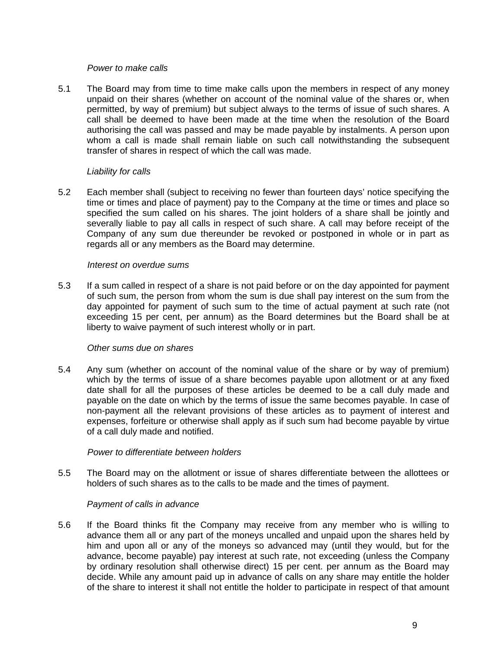## *Power to make calls*

5.1 The Board may from time to time make calls upon the members in respect of any money unpaid on their shares (whether on account of the nominal value of the shares or, when permitted, by way of premium) but subject always to the terms of issue of such shares. A call shall be deemed to have been made at the time when the resolution of the Board authorising the call was passed and may be made payable by instalments. A person upon whom a call is made shall remain liable on such call notwithstanding the subsequent transfer of shares in respect of which the call was made.

# *Liability for calls*

5.2 Each member shall (subject to receiving no fewer than fourteen days' notice specifying the time or times and place of payment) pay to the Company at the time or times and place so specified the sum called on his shares. The joint holders of a share shall be jointly and severally liable to pay all calls in respect of such share. A call may before receipt of the Company of any sum due thereunder be revoked or postponed in whole or in part as regards all or any members as the Board may determine.

# *Interest on overdue sums*

5.3 If a sum called in respect of a share is not paid before or on the day appointed for payment of such sum, the person from whom the sum is due shall pay interest on the sum from the day appointed for payment of such sum to the time of actual payment at such rate (not exceeding 15 per cent, per annum) as the Board determines but the Board shall be at liberty to waive payment of such interest wholly or in part.

## *Other sums due on shares*

5.4 Any sum (whether on account of the nominal value of the share or by way of premium) which by the terms of issue of a share becomes payable upon allotment or at any fixed date shall for all the purposes of these articles be deemed to be a call duly made and payable on the date on which by the terms of issue the same becomes payable. In case of non-payment all the relevant provisions of these articles as to payment of interest and expenses, forfeiture or otherwise shall apply as if such sum had become payable by virtue of a call duly made and notified.

## *Power to differentiate between holders*

5.5 The Board may on the allotment or issue of shares differentiate between the allottees or holders of such shares as to the calls to be made and the times of payment.

## *Payment of calls in advance*

5.6 If the Board thinks fit the Company may receive from any member who is willing to advance them all or any part of the moneys uncalled and unpaid upon the shares held by him and upon all or any of the moneys so advanced may (until they would, but for the advance, become payable) pay interest at such rate, not exceeding (unless the Company by ordinary resolution shall otherwise direct) 15 per cent. per annum as the Board may decide. While any amount paid up in advance of calls on any share may entitle the holder of the share to interest it shall not entitle the holder to participate in respect of that amount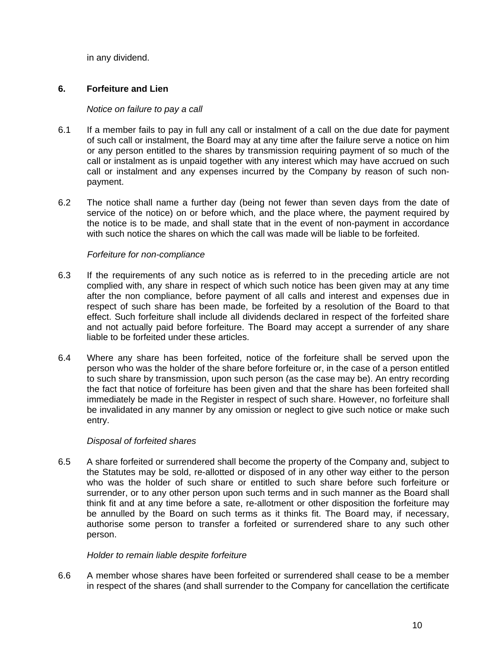in any dividend.

# **6. Forfeiture and Lien**

# *Notice on failure to pay a call*

- 6.1 If a member fails to pay in full any call or instalment of a call on the due date for payment of such call or instalment, the Board may at any time after the failure serve a notice on him or any person entitled to the shares by transmission requiring payment of so much of the call or instalment as is unpaid together with any interest which may have accrued on such call or instalment and any expenses incurred by the Company by reason of such nonpayment.
- 6.2 The notice shall name a further day (being not fewer than seven days from the date of service of the notice) on or before which, and the place where, the payment required by the notice is to be made, and shall state that in the event of non-payment in accordance with such notice the shares on which the call was made will be liable to be forfeited.

# *Forfeiture for non-compliance*

- 6.3 If the requirements of any such notice as is referred to in the preceding article are not complied with, any share in respect of which such notice has been given may at any time after the non compliance, before payment of all calls and interest and expenses due in respect of such share has been made, be forfeited by a resolution of the Board to that effect. Such forfeiture shall include all dividends declared in respect of the forfeited share and not actually paid before forfeiture. The Board may accept a surrender of any share liable to be forfeited under these articles.
- 6.4 Where any share has been forfeited, notice of the forfeiture shall be served upon the person who was the holder of the share before forfeiture or, in the case of a person entitled to such share by transmission, upon such person (as the case may be). An entry recording the fact that notice of forfeiture has been given and that the share has been forfeited shall immediately be made in the Register in respect of such share. However, no forfeiture shall be invalidated in any manner by any omission or neglect to give such notice or make such entry.

# *Disposal of forfeited shares*

6.5 A share forfeited or surrendered shall become the property of the Company and, subject to the Statutes may be sold, re-allotted or disposed of in any other way either to the person who was the holder of such share or entitled to such share before such forfeiture or surrender, or to any other person upon such terms and in such manner as the Board shall think fit and at any time before a sate, re-allotment or other disposition the forfeiture may be annulled by the Board on such terms as it thinks fit. The Board may, if necessary, authorise some person to transfer a forfeited or surrendered share to any such other person.

## *Holder to remain liable despite forfeiture*

6.6 A member whose shares have been forfeited or surrendered shall cease to be a member in respect of the shares (and shall surrender to the Company for cancellation the certificate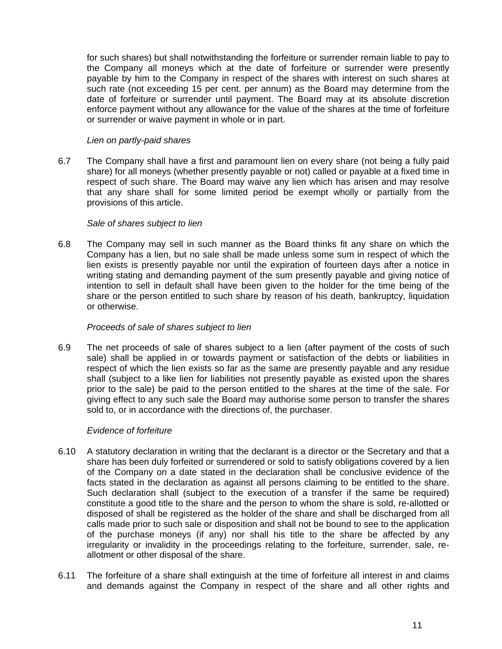for such shares) but shall notwithstanding the forfeiture or surrender remain liable to pay to the Company all moneys which at the date of forfeiture or surrender were presently payable by him to the Company in respect of the shares with interest on such shares at such rate (not exceeding 15 per cent. per annum) as the Board may determine from the date of forfeiture or surrender until payment. The Board may at its absolute discretion enforce payment without any allowance for the value of the shares at the time of forfeiture or surrender or waive payment in whole or in part.

# *Lien on partly-paid shares*

6.7 The Company shall have a first and paramount lien on every share (not being a fully paid share) for all moneys (whether presently payable or not) called or payable at a fixed time in respect of such share. The Board may waive any lien which has arisen and may resolve that any share shall for some limited period be exempt wholly or partially from the provisions of this article.

## *Sale of shares subject to lien*

6.8 The Company may sell in such manner as the Board thinks fit any share on which the Company has a lien, but no sale shall be made unless some sum in respect of which the lien exists is presently payable nor until the expiration of fourteen days after a notice in writing stating and demanding payment of the sum presently payable and giving notice of intention to sell in default shall have been given to the holder for the time being of the share or the person entitled to such share by reason of his death, bankruptcy, liquidation or otherwise.

## *Proceeds of sale of shares subject to lien*

6.9 The net proceeds of sale of shares subject to a lien (after payment of the costs of such sale) shall be applied in or towards payment or satisfaction of the debts or liabilities in respect of which the lien exists so far as the same are presently payable and any residue shall (subject to a like lien for liabilities not presently payable as existed upon the shares prior to the sale) be paid to the person entitled to the shares at the time of the sale. For giving effect to any such sale the Board may authorise some person to transfer the shares sold to, or in accordance with the directions of, the purchaser.

# *Evidence of forfeiture*

- 6.10 A statutory declaration in writing that the declarant is a director or the Secretary and that a share has been duly forfeited or surrendered or sold to satisfy obligations covered by a lien of the Company on a date stated in the declaration shall be conclusive evidence of the facts stated in the declaration as against all persons claiming to be entitled to the share. Such declaration shall (subject to the execution of a transfer if the same be required) constitute a good title to the share and the person to whom the share is sold, re-allotted or disposed of shall be registered as the holder of the share and shall be discharged from all calls made prior to such sale or disposition and shall not be bound to see to the application of the purchase moneys (if any) nor shall his title to the share be affected by any irregularity or invalidity in the proceedings relating to the forfeiture, surrender, sale, reallotment or other disposal of the share.
- 6.11 The forfeiture of a share shall extinguish at the time of forfeiture all interest in and claims and demands against the Company in respect of the share and all other rights and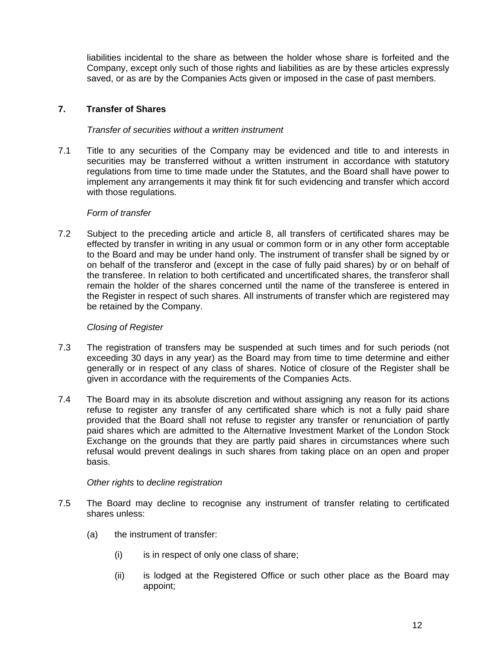liabilities incidental to the share as between the holder whose share is forfeited and the Company, except only such of those rights and liabilities as are by these articles expressly saved, or as are by the Companies Acts given or imposed in the case of past members.

# **7. Transfer of Shares**

# *Transfer of securities without a written instrument*

7.1 Title to any securities of the Company may be evidenced and title to and interests in securities may be transferred without a written instrument in accordance with statutory regulations from time to time made under the Statutes, and the Board shall have power to implement any arrangements it may think fit for such evidencing and transfer which accord with those regulations.

# *Form of transfer*

7.2 Subject to the preceding article and article 8, all transfers of certificated shares may be effected by transfer in writing in any usual or common form or in any other form acceptable to the Board and may be under hand only. The instrument of transfer shall be signed by or on behalf of the transferor and (except in the case of fully paid shares) by or on behalf of the transferee. In relation to both certificated and uncertificated shares, the transferor shall remain the holder of the shares concerned until the name of the transferee is entered in the Register in respect of such shares. All instruments of transfer which are registered may be retained by the Company.

# *Closing of Register*

- 7.3 The registration of transfers may be suspended at such times and for such periods (not exceeding 30 days in any year) as the Board may from time to time determine and either generally or in respect of any class of shares. Notice of closure of the Register shall be given in accordance with the requirements of the Companies Acts.
- 7.4 The Board may in its absolute discretion and without assigning any reason for its actions refuse to register any transfer of any certificated share which is not a fully paid share provided that the Board shall not refuse to register any transfer or renunciation of partly paid shares which are admitted to the Alternative Investment Market of the London Stock Exchange on the grounds that they are partly paid shares in circumstances where such refusal would prevent dealings in such shares from taking place on an open and proper basis.

# *Other rights* to *decline registration*

- 7.5 The Board may decline to recognise any instrument of transfer relating to certificated shares unless:
	- (a) the instrument of transfer:
		- (i) is in respect of only one class of share;
		- (ii) is lodged at the Registered Office or such other place as the Board may appoint;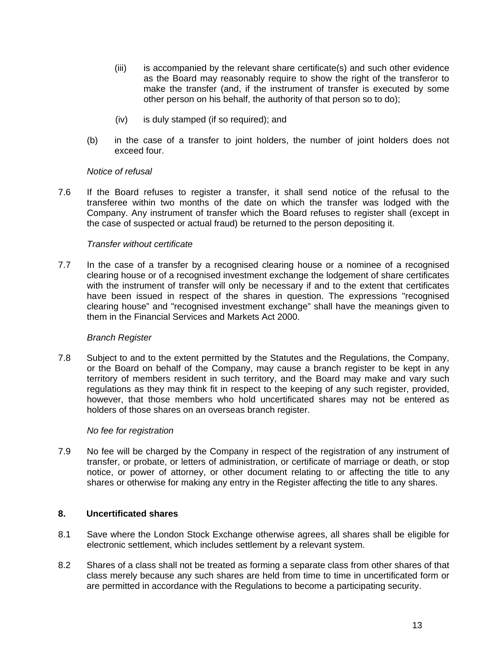- (iii) is accompanied by the relevant share certificate(s) and such other evidence as the Board may reasonably require to show the right of the transferor to make the transfer (and, if the instrument of transfer is executed by some other person on his behalf, the authority of that person so to do);
- (iv) is duly stamped (if so required); and
- (b) in the case of a transfer to joint holders, the number of joint holders does not exceed four.

## *Notice of refusal*

7.6 If the Board refuses to register a transfer, it shall send notice of the refusal to the transferee within two months of the date on which the transfer was lodged with the Company. Any instrument of transfer which the Board refuses to register shall (except in the case of suspected or actual fraud) be returned to the person depositing it.

## *Transfer without certificate*

7.7 In the case of a transfer by a recognised clearing house or a nominee of a recognised clearing house or of a recognised investment exchange the lodgement of share certificates with the instrument of transfer will only be necessary if and to the extent that certificates have been issued in respect of the shares in question. The expressions "recognised clearing house" and "recognised investment exchange" shall have the meanings given to them in the Financial Services and Markets Act 2000.

## *Branch Register*

7.8 Subject to and to the extent permitted by the Statutes and the Regulations, the Company, or the Board on behalf of the Company, may cause a branch register to be kept in any territory of members resident in such territory, and the Board may make and vary such regulations as they may think fit in respect to the keeping of any such register, provided, however, that those members who hold uncertificated shares may not be entered as holders of those shares on an overseas branch register.

## *No fee for registration*

7.9 No fee will be charged by the Company in respect of the registration of any instrument of transfer, or probate, or letters of administration, or certificate of marriage or death, or stop notice, or power of attorney, or other document relating to or affecting the title to any shares or otherwise for making any entry in the Register affecting the title to any shares.

## **8. Uncertificated shares**

- 8.1 Save where the London Stock Exchange otherwise agrees, all shares shall be eligible for electronic settlement, which includes settlement by a relevant system.
- 8.2 Shares of a class shall not be treated as forming a separate class from other shares of that class merely because any such shares are held from time to time in uncertificated form or are permitted in accordance with the Regulations to become a participating security.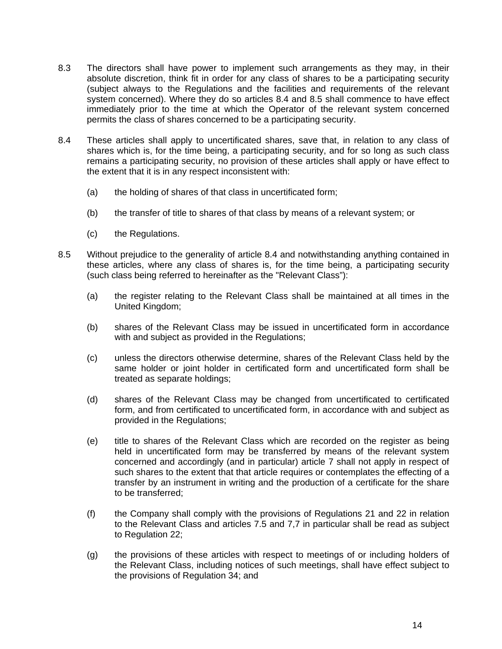- 8.3 The directors shall have power to implement such arrangements as they may, in their absolute discretion, think fit in order for any class of shares to be a participating security (subject always to the Regulations and the facilities and requirements of the relevant system concerned). Where they do so articles 8.4 and 8.5 shall commence to have effect immediately prior to the time at which the Operator of the relevant system concerned permits the class of shares concerned to be a participating security.
- 8.4 These articles shall apply to uncertificated shares, save that, in relation to any class of shares which is, for the time being, a participating security, and for so long as such class remains a participating security, no provision of these articles shall apply or have effect to the extent that it is in any respect inconsistent with:
	- (a) the holding of shares of that class in uncertificated form;
	- (b) the transfer of title to shares of that class by means of a relevant system; or
	- (c) the Regulations.
- 8.5 Without prejudice to the generality of article 8.4 and notwithstanding anything contained in these articles, where any class of shares is, for the time being, a participating security (such class being referred to hereinafter as the "Relevant Class"):
	- (a) the register relating to the Relevant Class shall be maintained at all times in the United Kingdom;
	- (b) shares of the Relevant Class may be issued in uncertificated form in accordance with and subject as provided in the Regulations;
	- (c) unless the directors otherwise determine, shares of the Relevant Class held by the same holder or joint holder in certificated form and uncertificated form shall be treated as separate holdings;
	- (d) shares of the Relevant Class may be changed from uncertificated to certificated form, and from certificated to uncertificated form, in accordance with and subject as provided in the Regulations;
	- (e) title to shares of the Relevant Class which are recorded on the register as being held in uncertificated form may be transferred by means of the relevant system concerned and accordingly (and in particular) article 7 shall not apply in respect of such shares to the extent that that article requires or contemplates the effecting of a transfer by an instrument in writing and the production of a certificate for the share to be transferred;
	- (f) the Company shall comply with the provisions of Regulations 21 and 22 in relation to the Relevant Class and articles 7.5 and 7,7 in particular shall be read as subject to Regulation 22;
	- (g) the provisions of these articles with respect to meetings of or including holders of the Relevant Class, including notices of such meetings, shall have effect subject to the provisions of Regulation 34; and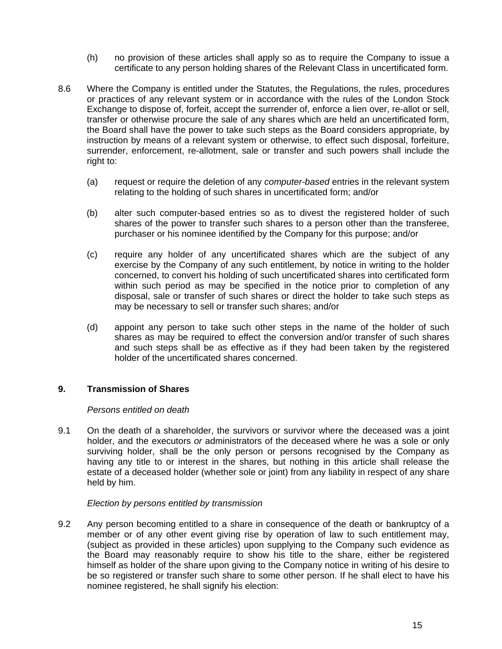- (h) no provision of these articles shall apply so as to require the Company to issue a certificate to any person holding shares of the Relevant Class in uncertificated form.
- 8.6 Where the Company is entitled under the Statutes, the Regulations, the rules, procedures or practices of any relevant system or in accordance with the rules of the London Stock Exchange to dispose of, forfeit, accept the surrender of, enforce a lien over, re-allot or sell, transfer or otherwise procure the sale of any shares which are held an uncertificated form, the Board shall have the power to take such steps as the Board considers appropriate, by instruction by means of a relevant system or otherwise, to effect such disposal, forfeiture, surrender, enforcement, re-allotment, sale or transfer and such powers shall include the right to:
	- (a) request or require the deletion of any *computer-based* entries in the relevant system relating to the holding of such shares in uncertificated form; and/or
	- (b) alter such computer-based entries so as to divest the registered holder of such shares of the power to transfer such shares to a person other than the transferee, purchaser or his nominee identified by the Company for this purpose; and/or
	- (c) require any holder of any uncertificated shares which are the subject of any exercise by the Company of any such entitlement, by notice in writing to the holder concerned, to convert his holding of such uncertificated shares into certificated form within such period as may be specified in the notice prior to completion of any disposal, sale or transfer of such shares or direct the holder to take such steps as may be necessary to sell or transfer such shares; and/or
	- (d) appoint any person to take such other steps in the name of the holder of such shares as may be required to effect the conversion and/or transfer of such shares and such steps shall be as effective as if they had been taken by the registered holder of the uncertificated shares concerned.

# **9. Transmission of Shares**

## *Persons entitled on death*

9.1 On the death of a shareholder, the survivors or survivor where the deceased was a joint holder, and the executors *or* administrators of the deceased where he was a sole or only surviving holder, shall be the only person or persons recognised by the Company as having any title to or interest in the shares, but nothing in this article shall release the estate of a deceased holder (whether sole or joint) from any liability in respect of any share held by him.

## *Election by persons entitled by transmission*

9.2 Any person becoming entitled to a share in consequence of the death or bankruptcy of a member or of any other event giving rise by operation of law to such entitlement may, (subject as provided in these articles) upon supplying to the Company such evidence as the Board may reasonably require to show his title to the share, either be registered himself as holder of the share upon giving to the Company notice in writing of his desire to be so registered or transfer such share to some other person. If he shall elect to have his nominee registered, he shall signify his election: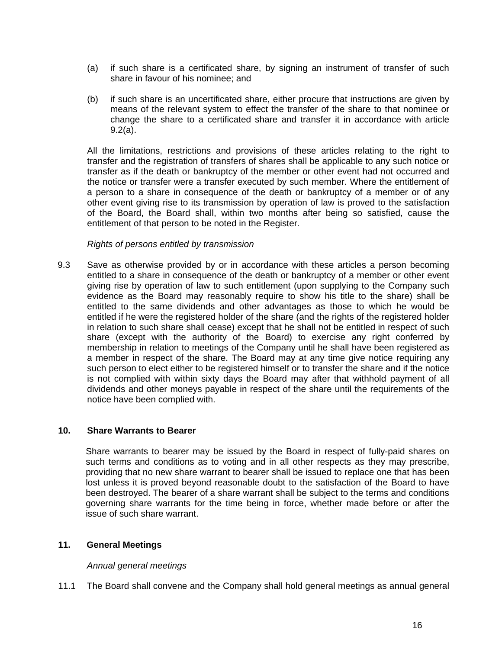- (a) if such share is a certificated share, by signing an instrument of transfer of such share in favour of his nominee; and
- (b) if such share is an uncertificated share, either procure that instructions are given by means of the relevant system to effect the transfer of the share to that nominee or change the share to a certificated share and transfer it in accordance with article 9.2(a).

All the limitations, restrictions and provisions of these articles relating to the right to transfer and the registration of transfers of shares shall be applicable to any such notice or transfer as if the death or bankruptcy of the member or other event had not occurred and the notice or transfer were a transfer executed by such member. Where the entitlement of a person to a share in consequence of the death or bankruptcy of a member or of any other event giving rise to its transmission by operation of law is proved to the satisfaction of the Board, the Board shall, within two months after being so satisfied, cause the entitlement of that person to be noted in the Register.

## *Rights of persons entitled by transmission*

9.3 Save as otherwise provided by or in accordance with these articles a person becoming entitled to a share in consequence of the death or bankruptcy of a member or other event giving rise by operation of law to such entitlement (upon supplying to the Company such evidence as the Board may reasonably require to show his title to the share) shall be entitled to the same dividends and other advantages as those to which he would be entitled if he were the registered holder of the share (and the rights of the registered holder in relation to such share shall cease) except that he shall not be entitled in respect of such share (except with the authority of the Board) to exercise any right conferred by membership in relation to meetings of the Company until he shall have been registered as a member in respect of the share. The Board may at any time give notice requiring any such person to elect either to be registered himself or to transfer the share and if the notice is not complied with within sixty days the Board may after that withhold payment of all dividends and other moneys payable in respect of the share until the requirements of the notice have been complied with.

## **10. Share Warrants to Bearer**

Share warrants to bearer may be issued by the Board in respect of fully-paid shares on such terms and conditions as to voting and in all other respects as they may prescribe, providing that no new share warrant to bearer shall be issued to replace one that has been lost unless it is proved beyond reasonable doubt to the satisfaction of the Board to have been destroyed. The bearer of a share warrant shall be subject to the terms and conditions governing share warrants for the time being in force, whether made before or after the issue of such share warrant.

## **11. General Meetings**

## *Annual general meetings*

11.1 The Board shall convene and the Company shall hold general meetings as annual general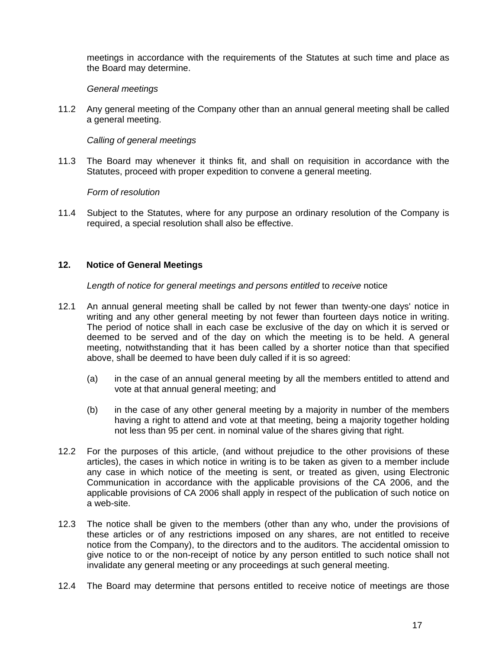meetings in accordance with the requirements of the Statutes at such time and place as the Board may determine.

# *General meetings*

11.2 Any general meeting of the Company other than an annual general meeting shall be called a general meeting.

# *Calling of general meetings*

11.3 The Board may whenever it thinks fit, and shall on requisition in accordance with the Statutes, proceed with proper expedition to convene a general meeting.

## *Form of resolution*

11.4 Subject to the Statutes, where for any purpose an ordinary resolution of the Company is required, a special resolution shall also be effective.

# **12. Notice of General Meetings**

*Length of notice for general meetings and persons entitled* to *receive* notice

- 12.1 An annual general meeting shall be called by not fewer than twenty-one days' notice in writing and any other general meeting by not fewer than fourteen days notice in writing. The period of notice shall in each case be exclusive of the day on which it is served or deemed to be served and of the day on which the meeting is to be held. A general meeting, notwithstanding that it has been called by a shorter notice than that specified above, shall be deemed to have been duly called if it is so agreed:
	- (a) in the case of an annual general meeting by all the members entitled to attend and vote at that annual general meeting; and
	- (b) in the case of any other general meeting by a majority in number of the members having a right to attend and vote at that meeting, being a majority together holding not less than 95 per cent. in nominal value of the shares giving that right.
- 12.2 For the purposes of this article, (and without prejudice to the other provisions of these articles), the cases in which notice in writing is to be taken as given to a member include any case in which notice of the meeting is sent, or treated as given, using Electronic Communication in accordance with the applicable provisions of the CA 2006, and the applicable provisions of CA 2006 shall apply in respect of the publication of such notice on a web-site.
- 12.3 The notice shall be given to the members (other than any who, under the provisions of these articles or of any restrictions imposed on any shares, are not entitled to receive notice from the Company), to the directors and to the auditors. The accidental omission to give notice to or the non-receipt of notice by any person entitled to such notice shall not invalidate any general meeting or any proceedings at such general meeting.
- 12.4 The Board may determine that persons entitled to receive notice of meetings are those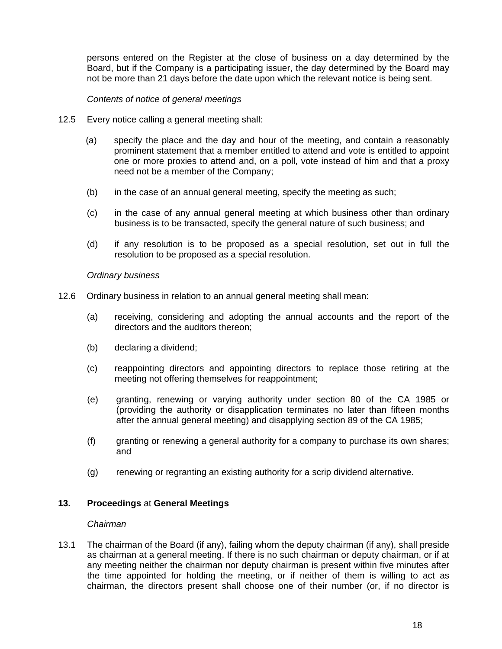persons entered on the Register at the close of business on a day determined by the Board, but if the Company is a participating issuer, the day determined by the Board may not be more than 21 days before the date upon which the relevant notice is being sent.

# *Contents of notice* of *general meetings*

- 12.5 Every notice calling a general meeting shall:
	- (a) specify the place and the day and hour of the meeting, and contain a reasonably prominent statement that a member entitled to attend and vote is entitled to appoint one or more proxies to attend and, on a poll, vote instead of him and that a proxy need not be a member of the Company;
	- (b) in the case of an annual general meeting, specify the meeting as such;
	- (c) in the case of any annual general meeting at which business other than ordinary business is to be transacted, specify the general nature of such business; and
	- (d) if any resolution is to be proposed as a special resolution, set out in full the resolution to be proposed as a special resolution.

#### *Ordinary business*

- 12.6 Ordinary business in relation to an annual general meeting shall mean:
	- (a) receiving, considering and adopting the annual accounts and the report of the directors and the auditors thereon;
	- (b) declaring a dividend;
	- (c) reappointing directors and appointing directors to replace those retiring at the meeting not offering themselves for reappointment;
	- (e) granting, renewing or varying authority under section 80 of the CA 1985 or (providing the authority or disapplication terminates no later than fifteen months after the annual general meeting) and disapplying section 89 of the CA 1985;
	- (f) granting or renewing a general authority for a company to purchase its own shares; and
	- (g) renewing or regranting an existing authority for a scrip dividend alternative.

## **13. Proceedings** at **General Meetings**

## *Chairman*

13.1 The chairman of the Board (if any), failing whom the deputy chairman (if any), shall preside as chairman at a general meeting. If there is no such chairman or deputy chairman, or if at any meeting neither the chairman nor deputy chairman is present within five minutes after the time appointed for holding the meeting, or if neither of them is willing to act as chairman, the directors present shall choose one of their number (or, if no director is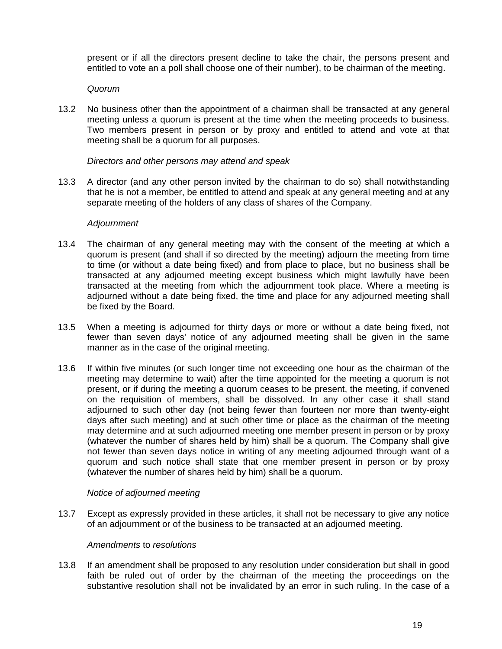present or if all the directors present decline to take the chair, the persons present and entitled to vote an a poll shall choose one of their number), to be chairman of the meeting.

## *Quorum*

13.2 No business other than the appointment of a chairman shall be transacted at any general meeting unless a quorum is present at the time when the meeting proceeds to business. Two members present in person or by proxy and entitled to attend and vote at that meeting shall be a quorum for all purposes.

# *Directors and other persons may attend and speak*

13.3 A director (and any other person invited by the chairman to do so) shall notwithstanding that he is not a member, be entitled to attend and speak at any general meeting and at any separate meeting of the holders of any class of shares of the Company.

## *Adjournment*

- 13.4 The chairman of any general meeting may with the consent of the meeting at which a quorum is present (and shall if so directed by the meeting) adjourn the meeting from time to time (or without a date being fixed) and from place to place, but no business shall be transacted at any adjourned meeting except business which might lawfully have been transacted at the meeting from which the adjournment took place. Where a meeting is adjourned without a date being fixed, the time and place for any adjourned meeting shall be fixed by the Board.
- 13.5 When a meeting is adjourned for thirty days *or* more or without a date being fixed, not fewer than seven days' notice of any adjourned meeting shall be given in the same manner as in the case of the original meeting.
- 13.6 If within five minutes (or such longer time not exceeding one hour as the chairman of the meeting may determine to wait) after the time appointed for the meeting a quorum is not present, or if during the meeting a quorum ceases to be present, the meeting, if convened on the requisition of members, shall be dissolved. In any other case it shall stand adjourned to such other day (not being fewer than fourteen nor more than twenty-eight days after such meeting) and at such other time or place as the chairman of the meeting may determine and at such adjourned meeting one member present in person or by proxy (whatever the number of shares held by him) shall be a quorum. The Company shall give not fewer than seven days notice in writing of any meeting adjourned through want of a quorum and such notice shall state that one member present in person or by proxy (whatever the number of shares held by him) shall be a quorum.

## *Notice of adjourned meeting*

13.7 Except as expressly provided in these articles, it shall not be necessary to give any notice of an adjournment or of the business to be transacted at an adjourned meeting.

## *Amendments* to *resolutions*

13.8 If an amendment shall be proposed to any resolution under consideration but shall in good faith be ruled out of order by the chairman of the meeting the proceedings on the substantive resolution shall not be invalidated by an error in such ruling. In the case of a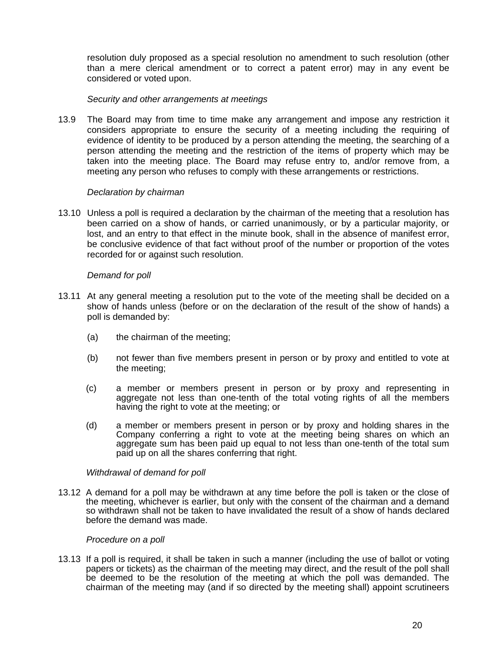resolution duly proposed as a special resolution no amendment to such resolution (other than a mere clerical amendment or to correct a patent error) may in any event be considered or voted upon.

## *Security and other arrangements at meetings*

13.9 The Board may from time to time make any arrangement and impose any restriction it considers appropriate to ensure the security of a meeting including the requiring of evidence of identity to be produced by a person attending the meeting, the searching of a person attending the meeting and the restriction of the items of property which may be taken into the meeting place. The Board may refuse entry to, and/or remove from, a meeting any person who refuses to comply with these arrangements or restrictions.

## *Declaration by chairman*

13.10 Unless a poll is required a declaration by the chairman of the meeting that a resolution has been carried on a show of hands, or carried unanimously, or by a particular majority, or lost, and an entry to that effect in the minute book, shall in the absence of manifest error, be conclusive evidence of that fact without proof of the number or proportion of the votes recorded for or against such resolution.

# *Demand for poll*

- 13.11 At any general meeting a resolution put to the vote of the meeting shall be decided on a show of hands unless (before or on the declaration of the result of the show of hands) a poll is demanded by:
	- (a) the chairman of the meeting;
	- (b) not fewer than five members present in person or by proxy and entitled to vote at the meeting;
	- (c) a member or members present in person or by proxy and representing in aggregate not less than one-tenth of the total voting rights of all the members having the right to vote at the meeting; or
	- (d) a member or members present in person or by proxy and holding shares in the Company conferring a right to vote at the meeting being shares on which an aggregate sum has been paid up equal to not less than one-tenth of the total sum paid up on all the shares conferring that right.

## *Withdrawal of demand for poll*

13.12 A demand for a poll may be withdrawn at any time before the poll is taken or the close of the meeting, whichever is earlier, but only with the consent of the chairman and a demand so withdrawn shall not be taken to have invalidated the result of a show of hands declared before the demand was made.

## *Procedure on a poll*

13.13 If a poll is required, it shall be taken in such a manner (including the use of ballot or voting papers or tickets) as the chairman of the meeting may direct, and the result of the poll shall be deemed to be the resolution of the meeting at which the poll was demanded. The chairman of the meeting may (and if so directed by the meeting shall) appoint scrutineers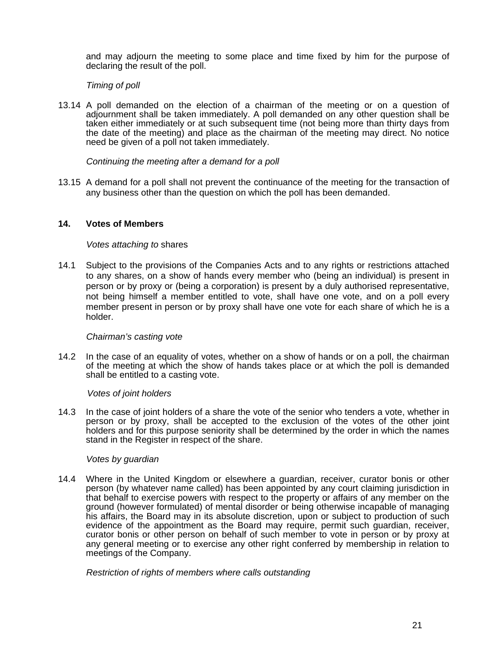and may adjourn the meeting to some place and time fixed by him for the purpose of declaring the result of the poll.

## *Timing of poll*

13.14 A poll demanded on the election of a chairman of the meeting or on a question of adjournment shall be taken immediately. A poll demanded on any other question shall be taken either immediately or at such subsequent time (not being more than thirty days from the date of the meeting) and place as the chairman of the meeting may direct. No notice need be given of a poll not taken immediately.

## *Continuing the meeting after a demand for a poll*

13.15 A demand for a poll shall not prevent the continuance of the meeting for the transaction of any business other than the question on which the poll has been demanded.

## **14. Votes of Members**

#### *Votes attaching to* shares

14.1 Subject to the provisions of the Companies Acts and to any rights or restrictions attached to any shares, on a show of hands every member who (being an individual) is present in person or by proxy or (being a corporation) is present by a duly authorised representative, not being himself a member entitled to vote, shall have one vote, and on a poll every member present in person or by proxy shall have one vote for each share of which he is a holder.

#### *Chairman's casting vote*

14.2 In the case of an equality of votes, whether on a show of hands or on a poll, the chairman of the meeting at which the show of hands takes place or at which the poll is demanded shall be entitled to a casting vote.

#### *Votes of joint holders*

14.3 In the case of joint holders of a share the vote of the senior who tenders a vote, whether in person or by proxy, shall be accepted to the exclusion of the votes of the other joint holders and for this purpose seniority shall be determined by the order in which the names stand in the Register in respect of the share.

## *Votes by guardian*

14.4 Where in the United Kingdom or elsewhere a guardian, receiver, curator bonis or other person (by whatever name called) has been appointed by any court claiming jurisdiction in that behalf to exercise powers with respect to the property or affairs of any member on the ground (however formulated) of mental disorder or being otherwise incapable of managing his affairs, the Board may in its absolute discretion, upon or subject to production of such evidence of the appointment as the Board may require, permit such guardian, receiver, curator bonis or other person on behalf of such member to vote in person or by proxy at any general meeting or to exercise any other right conferred by membership in relation to meetings of the Company.

*Restriction of rights of members where calls outstanding*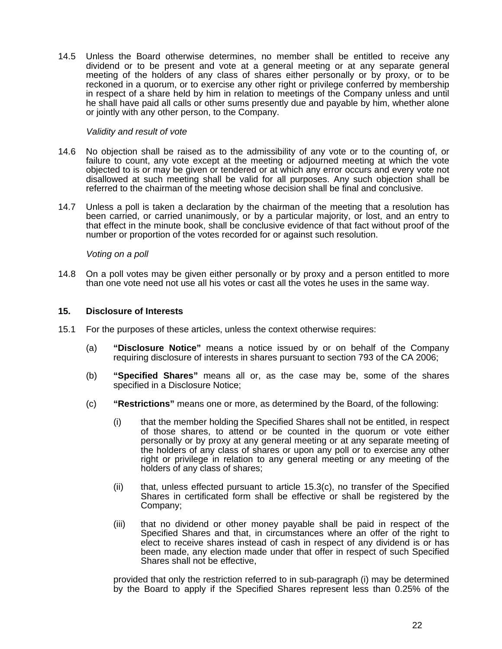14.5 Unless the Board otherwise determines, no member shall be entitled to receive any dividend or to be present and vote at a general meeting or at any separate general meeting of the holders of any class of shares either personally or by proxy, or to be reckoned in a quorum, or to exercise any other right or privilege conferred by membership in respect of a share held by him in relation to meetings of the Company unless and until he shall have paid all calls or other sums presently due and payable by him, whether alone or jointly with any other person, to the Company.

#### *Validity and result of vote*

- 14.6 No objection shall be raised as to the admissibility of any vote or to the counting of, or failure to count, any vote except at the meeting or adjourned meeting at which the vote objected to is or may be given or tendered or at which any error occurs and every vote not disallowed at such meeting shall be valid for all purposes. Any such objection shall be referred to the chairman of the meeting whose decision shall be final and conclusive.
- 14.7 Unless a poll is taken a declaration by the chairman of the meeting that a resolution has been carried, or carried unanimously, or by a particular majority, or lost, and an entry to that effect in the minute book, shall be conclusive evidence of that fact without proof of the number or proportion of the votes recorded for or against such resolution.

#### *Voting on a poll*

14.8 On a poll votes may be given either personally or by proxy and a person entitled to more than one vote need not use all his votes or cast all the votes he uses in the same way.

#### **15. Disclosure of Interests**

- 15.1 For the purposes of these articles, unless the context otherwise requires:
	- (a) **"Disclosure Notice"** means a notice issued by or on behalf of the Company requiring disclosure of interests in shares pursuant to section 793 of the CA 2006;
	- (b) **"Specified Shares"** means all or, as the case may be, some of the shares specified in a Disclosure Notice;
	- (c) **"Restrictions"** means one or more, as determined by the Board, of the following:
		- (i) that the member holding the Specified Shares shall not be entitled, in respect of those shares, to attend or be counted in the quorum or vote either personally or by proxy at any general meeting or at any separate meeting of the holders of any class of shares or upon any poll or to exercise any other right or privilege in relation to any general meeting or any meeting of the holders of any class of shares;
		- (ii) that, unless effected pursuant to article 15.3(c), no transfer of the Specified Shares in certificated form shall be effective or shall be registered by the Company;
		- (iii) that no dividend or other money payable shall be paid in respect of the Specified Shares and that, in circumstances where an offer of the right to elect to receive shares instead of cash in respect of any dividend is or has been made, any election made under that offer in respect of such Specified Shares shall not be effective,

provided that only the restriction referred to in sub-paragraph (i) may be determined by the Board to apply if the Specified Shares represent less than 0.25% of the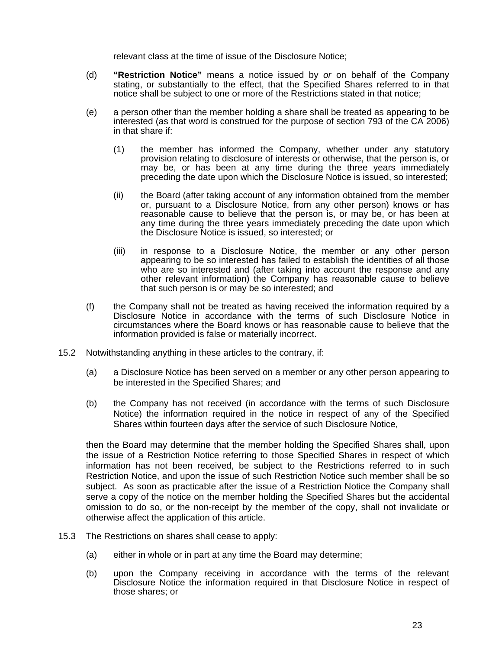relevant class at the time of issue of the Disclosure Notice;

- (d) **"Restriction Notice"** means a notice issued by *or* on behalf of the Company stating, or substantially to the effect, that the Specified Shares referred to in that notice shall be subject to one or more of the Restrictions stated in that notice;
- (e) a person other than the member holding a share shall be treated as appearing to be interested (as that word is construed for the purpose of section 793 of the CA 2006) in that share if:
	- (1) the member has informed the Company, whether under any statutory provision relating to disclosure of interests or otherwise, that the person is, or may be, or has been at any time during the three years immediately preceding the date upon which the Disclosure Notice is issued, so interested;
	- (ii) the Board (after taking account of any information obtained from the member or, pursuant to a Disclosure Notice, from any other person) knows or has reasonable cause to believe that the person is, or may be, or has been at any time during the three years immediately preceding the date upon which the Disclosure Notice is issued, so interested; or
	- (iii) in response to a Disclosure Notice, the member or any other person appearing to be so interested has failed to establish the identities of all those who are so interested and (after taking into account the response and any other relevant information) the Company has reasonable cause to believe that such person is or may be so interested; and
- (f) the Company shall not be treated as having received the information required by a Disclosure Notice in accordance with the terms of such Disclosure Notice in circumstances where the Board knows or has reasonable cause to believe that the information provided is false or materially incorrect.
- 15.2 Notwithstanding anything in these articles to the contrary, if:
	- (a) a Disclosure Notice has been served on a member or any other person appearing to be interested in the Specified Shares; and
	- (b) the Company has not received (in accordance with the terms of such Disclosure Notice) the information required in the notice in respect of any of the Specified Shares within fourteen days after the service of such Disclosure Notice,

then the Board may determine that the member holding the Specified Shares shall, upon the issue of a Restriction Notice referring to those Specified Shares in respect of which information has not been received, be subject to the Restrictions referred to in such Restriction Notice, and upon the issue of such Restriction Notice such member shall be so subject. As soon as practicable after the issue of a Restriction Notice the Company shall serve a copy of the notice on the member holding the Specified Shares but the accidental omission to do so, or the non-receipt by the member of the copy, shall not invalidate or otherwise affect the application of this article.

- 15.3 The Restrictions on shares shall cease to apply:
	- (a) either in whole or in part at any time the Board may determine;
	- (b) upon the Company receiving in accordance with the terms of the relevant Disclosure Notice the information required in that Disclosure Notice in respect of those shares; or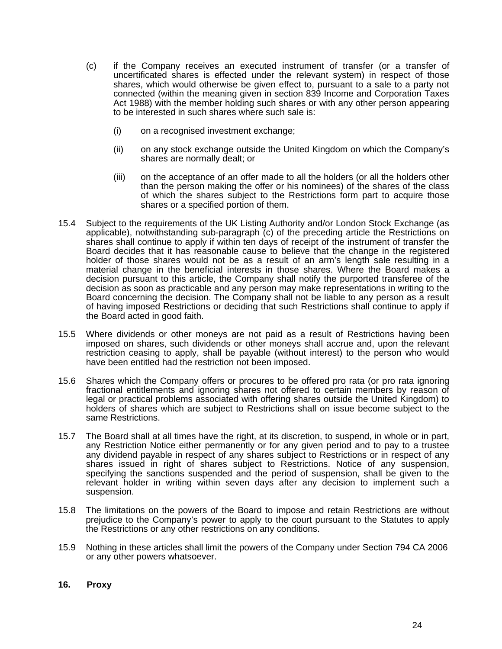- (c) if the Company receives an executed instrument of transfer (or a transfer of uncertificated shares is effected under the relevant system) in respect of those shares, which would otherwise be given effect to, pursuant to a sale to a party not connected (within the meaning given in section 839 Income and Corporation Taxes Act 1988) with the member holding such shares or with any other person appearing to be interested in such shares where such sale is:
	- (i) on a recognised investment exchange;
	- (ii) on any stock exchange outside the United Kingdom on which the Company's shares are normally dealt; or
	- (iii) on the acceptance of an offer made to all the holders (or all the holders other than the person making the offer or his nominees) of the shares of the class of which the shares subject to the Restrictions form part to acquire those shares or a specified portion of them.
- 15.4 Subject to the requirements of the UK Listing Authority and/or London Stock Exchange (as applicable), notwithstanding sub-paragraph (c) of the preceding article the Restrictions on shares shall continue to apply if within ten days of receipt of the instrument of transfer the Board decides that it has reasonable cause to believe that the change in the registered holder of those shares would not be as a result of an arm's length sale resulting in a material change in the beneficial interests in those shares. Where the Board makes a decision pursuant to this article, the Company shall notify the purported transferee of the decision as soon as practicable and any person may make representations in writing to the Board concerning the decision. The Company shall not be liable to any person as a result of having imposed Restrictions or deciding that such Restrictions shall continue to apply if the Board acted in good faith.
- 15.5 Where dividends or other moneys are not paid as a result of Restrictions having been imposed on shares, such dividends or other moneys shall accrue and, upon the relevant restriction ceasing to apply, shall be payable (without interest) to the person who would have been entitled had the restriction not been imposed.
- 15.6 Shares which the Company offers or procures to be offered pro rata (or pro rata ignoring fractional entitlements and ignoring shares not offered to certain members by reason of legal or practical problems associated with offering shares outside the United Kingdom) to holders of shares which are subject to Restrictions shall on issue become subject to the same Restrictions.
- 15.7 The Board shall at all times have the right, at its discretion, to suspend, in whole or in part, any Restriction Notice either permanently or for any given period and to pay to a trustee any dividend payable in respect of any shares subject to Restrictions or in respect of any shares issued in right of shares subject to Restrictions. Notice of any suspension, specifying the sanctions suspended and the period of suspension, shall be given to the relevant holder in writing within seven days after any decision to implement such a suspension.
- 15.8 The limitations on the powers of the Board to impose and retain Restrictions are without prejudice to the Company's power to apply to the court pursuant to the Statutes to apply the Restrictions or any other restrictions on any conditions.
- 15.9 Nothing in these articles shall limit the powers of the Company under Section 794 CA 2006 or any other powers whatsoever.

## **16. Proxy**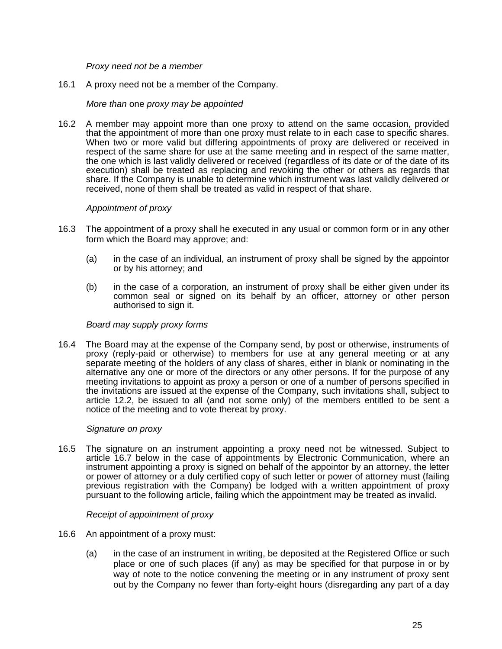*Proxy need not be a member* 

16.1 A proxy need not be a member of the Company.

# *More than* one *proxy may be appointed*

16.2 A member may appoint more than one proxy to attend on the same occasion, provided that the appointment of more than one proxy must relate to in each case to specific shares. When two or more valid but differing appointments of proxy are delivered or received in respect of the same share for use at the same meeting and in respect of the same matter, the one which is last validly delivered or received (regardless of its date or of the date of its execution) shall be treated as replacing and revoking the other or others as regards that share. If the Company is unable to determine which instrument was last validly delivered or received, none of them shall be treated as valid in respect of that share.

## *Appointment of proxy*

- 16.3 The appointment of a proxy shall he executed in any usual or common form or in any other form which the Board may approve; and:
	- (a) in the case of an individual, an instrument of proxy shall be signed by the appointor or by his attorney; and
	- (b) in the case of a corporation, an instrument of proxy shall be either given under its common seal or signed on its behalf by an officer, attorney or other person authorised to sign it.

## *Board may supply proxy forms*

16.4 The Board may at the expense of the Company send, by post or otherwise, instruments of proxy (reply-paid or otherwise) to members for use at any general meeting or at any separate meeting of the holders of any class of shares, either in blank or nominating in the alternative any one or more of the directors or any other persons. If for the purpose of any meeting invitations to appoint as proxy a person or one of a number of persons specified in the invitations are issued at the expense of the Company, such invitations shall, subject to article 12.2, be issued to all (and not some only) of the members entitled to be sent a notice of the meeting and to vote thereat by proxy.

## *Signature on proxy*

16.5 The signature on an instrument appointing a proxy need not be witnessed. Subject to article 16.7 below in the case of appointments by Electronic Communication, where an instrument appointing a proxy is signed on behalf of the appointor by an attorney, the letter or power of attorney or a duly certified copy of such letter or power of attorney must (failing previous registration with the Company) be lodged with a written appointment of proxy pursuant to the following article, failing which the appointment may be treated as invalid.

## *Receipt of appointment of proxy*

- 16.6 An appointment of a proxy must:
	- (a) in the case of an instrument in writing, be deposited at the Registered Office or such place or one of such places (if any) as may be specified for that purpose in or by way of note to the notice convening the meeting or in any instrument of proxy sent out by the Company no fewer than forty-eight hours (disregarding any part of a day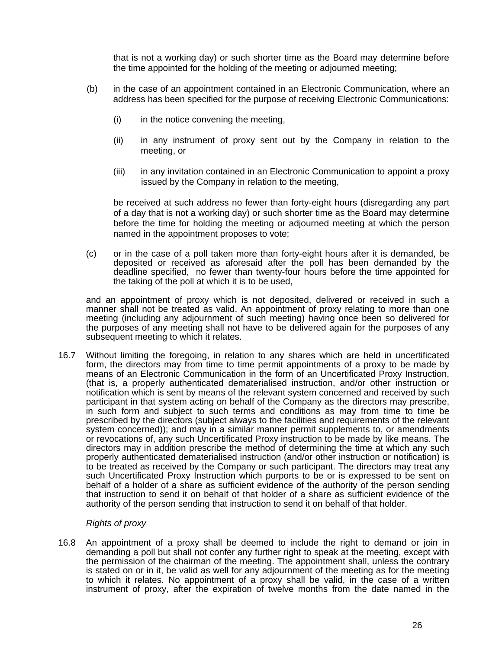that is not a working day) or such shorter time as the Board may determine before the time appointed for the holding of the meeting or adjourned meeting;

- (b) in the case of an appointment contained in an Electronic Communication, where an address has been specified for the purpose of receiving Electronic Communications:
	- (i) in the notice convening the meeting,
	- (ii) in any instrument of proxy sent out by the Company in relation to the meeting, or
	- (iii) in any invitation contained in an Electronic Communication to appoint a proxy issued by the Company in relation to the meeting,

be received at such address no fewer than forty-eight hours (disregarding any part of a day that is not a working day) or such shorter time as the Board may determine before the time for holding the meeting or adjourned meeting at which the person named in the appointment proposes to vote;

(c) or in the case of a poll taken more than forty-eight hours after it is demanded, be deposited or received as aforesaid after the poll has been demanded by the deadline specified, no fewer than twenty-four hours before the time appointed for the taking of the poll at which it is to be used,

and an appointment of proxy which is not deposited, delivered or received in such a manner shall not be treated as valid. An appointment of proxy relating to more than one meeting (including any adjournment of such meeting) having once been so delivered for the purposes of any meeting shall not have to be delivered again for the purposes of any subsequent meeting to which it relates.

16.7 Without limiting the foregoing, in relation to any shares which are held in uncertificated form, the directors may from time to time permit appointments of a proxy to be made by means of an Electronic Communication in the form of an Uncertificated Proxy Instruction, (that is, a properly authenticated dematerialised instruction, and/or other instruction or notification which is sent by means of the relevant system concerned and received by such participant in that system acting on behalf of the Company as the directors may prescribe, in such form and subject to such terms and conditions as may from time to time be prescribed by the directors (subject always to the facilities and requirements of the relevant system concerned)); and may in a similar manner permit supplements to, or amendments or revocations of, any such Uncertificated Proxy instruction to be made by like means. The directors may in addition prescribe the method of determining the time at which any such properly authenticated dematerialised instruction (and/or other instruction or notification) is to be treated as received by the Company or such participant. The directors may treat any such Uncertificated Proxy Instruction which purports to be or is expressed to be sent on behalf of a holder of a share as sufficient evidence of the authority of the person sending that instruction to send it on behalf of that holder of a share as sufficient evidence of the authority of the person sending that instruction to send it on behalf of that holder.

## *Rights of proxy*

16.8 An appointment of a proxy shall be deemed to include the right to demand or join in demanding a poll but shall not confer any further right to speak at the meeting, except with the permission of the chairman of the meeting. The appointment shall, unless the contrary is stated on or in it, be valid as well for any adjournment of the meeting as for the meeting to which it relates. No appointment of a proxy shall be valid, in the case of a written instrument of proxy, after the expiration of twelve months from the date named in the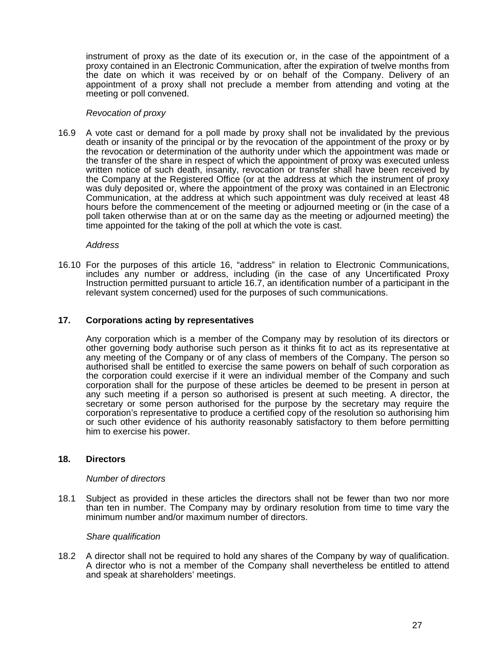instrument of proxy as the date of its execution or, in the case of the appointment of a proxy contained in an Electronic Communication, after the expiration of twelve months from the date on which it was received by or on behalf of the Company. Delivery of an appointment of a proxy shall not preclude a member from attending and voting at the meeting or poll convened.

#### *Revocation of proxy*

16.9 A vote cast or demand for a poll made by proxy shall not be invalidated by the previous death or insanity of the principal or by the revocation of the appointment of the proxy or by the revocation or determination of the authority under which the appointment was made or the transfer of the share in respect of which the appointment of proxy was executed unless written notice of such death, insanity, revocation or transfer shall have been received by the Company at the Registered Office (or at the address at which the instrument of proxy was duly deposited or, where the appointment of the proxy was contained in an Electronic Communication, at the address at which such appointment was duly received at least 48 hours before the commencement of the meeting or adjourned meeting or (in the case of a poll taken otherwise than at or on the same day as the meeting or adjourned meeting) the time appointed for the taking of the poll at which the vote is cast.

*Address* 

16.10 For the purposes of this article 16, "address" in relation to Electronic Communications, includes any number or address, including (in the case of any Uncertificated Proxy Instruction permitted pursuant to article 16.7, an identification number of a participant in the relevant system concerned) used for the purposes of such communications.

## **17. Corporations acting by representatives**

Any corporation which is a member of the Company may by resolution of its directors or other governing body authorise such person as it thinks fit to act as its representative at any meeting of the Company or of any class of members of the Company. The person so authorised shall be entitled to exercise the same powers on behalf of such corporation as the corporation could exercise if it were an individual member of the Company and such corporation shall for the purpose of these articles be deemed to be present in person at any such meeting if a person so authorised is present at such meeting. A director, the secretary or some person authorised for the purpose by the secretary may require the corporation's representative to produce a certified copy of the resolution so authorising him or such other evidence of his authority reasonably satisfactory to them before permitting him to exercise his power.

## **18. Directors**

#### *Number of directors*

18.1 Subject as provided in these articles the directors shall not be fewer than two nor more than ten in number. The Company may by ordinary resolution from time to time vary the minimum number and/or maximum number of directors.

## *Share qualification*

18.2 A director shall not be required to hold any shares of the Company by way of qualification. A director who is not a member of the Company shall nevertheless be entitled to attend and speak at shareholders' meetings.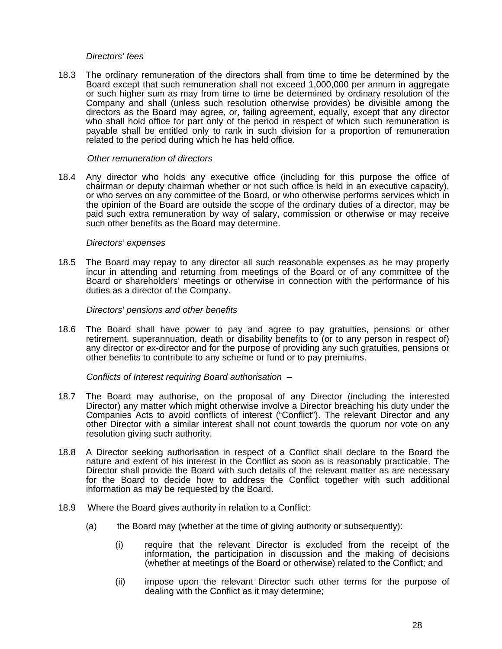#### *Directors' fees*

18.3 The ordinary remuneration of the directors shall from time to time be determined by the Board except that such remuneration shall not exceed 1,000,000 per annum in aggregate or such higher sum as may from time to time be determined by ordinary resolution of the Company and shall (unless such resolution otherwise provides) be divisible among the directors as the Board may agree, or, failing agreement, equally, except that any director who shall hold office for part only of the period in respect of which such remuneration is payable shall be entitled only to rank in such division for a proportion of remuneration related to the period during which he has held office.

#### *Other remuneration of directors*

18.4 Any director who holds any executive office (including for this purpose the office of chairman or deputy chairman whether or not such office is held in an executive capacity), or who serves on any committee of the Board, or who otherwise performs services which in the opinion of the Board are outside the scope of the ordinary duties of a director, may be paid such extra remuneration by way of salary, commission or otherwise or may receive such other benefits as the Board may determine.

#### *Directors' expenses*

18.5 The Board may repay to any director all such reasonable expenses as he may properly incur in attending and returning from meetings of the Board or of any committee of the Board or shareholders' meetings or otherwise in connection with the performance of his duties as a director of the Company.

#### *Directors' pensions and other benefits*

18.6 The Board shall have power to pay and agree to pay gratuities, pensions or other retirement, superannuation, death or disability benefits to (or to any person in respect of) any director or ex-director and for the purpose of providing any such gratuities, pensions or other benefits to contribute to any scheme or fund or to pay premiums.

## *Conflicts of Interest requiring Board authorisation –*

- 18.7 The Board may authorise, on the proposal of any Director (including the interested Director) any matter which might otherwise involve a Director breaching his duty under the Companies Acts to avoid conflicts of interest ("Conflict"). The relevant Director and any other Director with a similar interest shall not count towards the quorum nor vote on any resolution giving such authority.
- 18.8 A Director seeking authorisation in respect of a Conflict shall declare to the Board the nature and extent of his interest in the Conflict as soon as is reasonably practicable. The Director shall provide the Board with such details of the relevant matter as are necessary for the Board to decide how to address the Conflict together with such additional information as may be requested by the Board.
- 18.9 Where the Board gives authority in relation to a Conflict:
	- (a) the Board may (whether at the time of giving authority or subsequently):
		- (i) require that the relevant Director is excluded from the receipt of the information, the participation in discussion and the making of decisions (whether at meetings of the Board or otherwise) related to the Conflict; and
		- (ii) impose upon the relevant Director such other terms for the purpose of dealing with the Conflict as it may determine;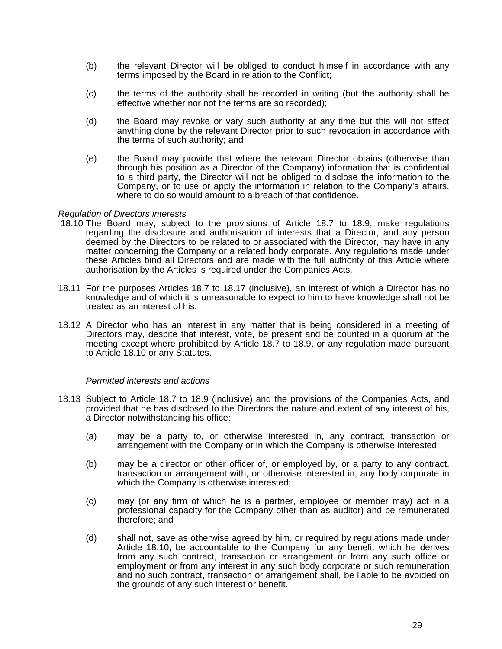- (b) the relevant Director will be obliged to conduct himself in accordance with any terms imposed by the Board in relation to the Conflict;
- (c) the terms of the authority shall be recorded in writing (but the authority shall be effective whether nor not the terms are so recorded);
- (d) the Board may revoke or vary such authority at any time but this will not affect anything done by the relevant Director prior to such revocation in accordance with the terms of such authority; and
- (e) the Board may provide that where the relevant Director obtains (otherwise than through his position as a Director of the Company) information that is confidential to a third party, the Director will not be obliged to disclose the information to the Company, or to use or apply the information in relation to the Company's affairs, where to do so would amount to a breach of that confidence.

#### *Regulation of Directors interests*

- 18.10 The Board may, subject to the provisions of Article 18.7 to 18.9, make regulations regarding the disclosure and authorisation of interests that a Director, and any person deemed by the Directors to be related to or associated with the Director, may have in any matter concerning the Company or a related body corporate. Any regulations made under these Articles bind all Directors and are made with the full authority of this Article where authorisation by the Articles is required under the Companies Acts.
- 18.11 For the purposes Articles 18.7 to 18.17 (inclusive), an interest of which a Director has no knowledge and of which it is unreasonable to expect to him to have knowledge shall not be treated as an interest of his.
- 18.12 A Director who has an interest in any matter that is being considered in a meeting of Directors may, despite that interest, vote, be present and be counted in a quorum at the meeting except where prohibited by Article 18.7 to 18.9, or any regulation made pursuant to Article 18.10 or any Statutes.

#### *Permitted interests and actions*

- 18.13 Subject to Article 18.7 to 18.9 (inclusive) and the provisions of the Companies Acts, and provided that he has disclosed to the Directors the nature and extent of any interest of his, a Director notwithstanding his office:
	- (a) may be a party to, or otherwise interested in, any contract, transaction or arrangement with the Company or in which the Company is otherwise interested;
	- (b) may be a director or other officer of, or employed by, or a party to any contract, transaction or arrangement with, or otherwise interested in, any body corporate in which the Company is otherwise interested;
	- (c) may (or any firm of which he is a partner, employee or member may) act in a professional capacity for the Company other than as auditor) and be remunerated therefore; and
	- (d) shall not, save as otherwise agreed by him, or required by regulations made under Article 18.10, be accountable to the Company for any benefit which he derives from any such contract, transaction or arrangement or from any such office or employment or from any interest in any such body corporate or such remuneration and no such contract, transaction or arrangement shall, be liable to be avoided on the grounds of any such interest or benefit.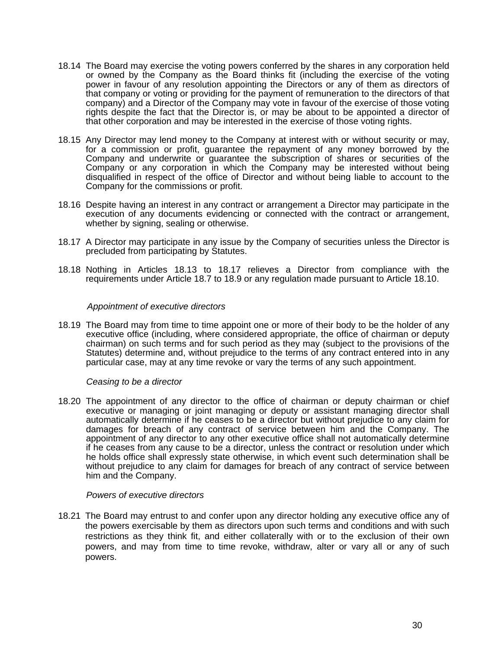- 18.14 The Board may exercise the voting powers conferred by the shares in any corporation held or owned by the Company as the Board thinks fit (including the exercise of the voting power in favour of any resolution appointing the Directors or any of them as directors of that company or voting or providing for the payment of remuneration to the directors of that company) and a Director of the Company may vote in favour of the exercise of those voting rights despite the fact that the Director is, or may be about to be appointed a director of that other corporation and may be interested in the exercise of those voting rights.
- 18.15 Any Director may lend money to the Company at interest with or without security or may, for a commission or profit, guarantee the repayment of any money borrowed by the Company and underwrite or guarantee the subscription of shares or securities of the Company or any corporation in which the Company may be interested without being disqualified in respect of the office of Director and without being liable to account to the Company for the commissions or profit.
- 18.16 Despite having an interest in any contract or arrangement a Director may participate in the execution of any documents evidencing or connected with the contract or arrangement, whether by signing, sealing or otherwise.
- 18.17 A Director may participate in any issue by the Company of securities unless the Director is precluded from participating by Statutes.
- 18.18 Nothing in Articles 18.13 to 18.17 relieves a Director from compliance with the requirements under Article 18.7 to 18.9 or any regulation made pursuant to Article 18.10.

#### *Appointment of executive directors*

18.19 The Board may from time to time appoint one or more of their body to be the holder of any executive office (including, where considered appropriate, the office of chairman or deputy chairman) on such terms and for such period as they may (subject to the provisions of the Statutes) determine and, without prejudice to the terms of any contract entered into in any particular case, may at any time revoke or vary the terms of any such appointment.

#### *Ceasing to be a director*

18.20 The appointment of any director to the office of chairman or deputy chairman or chief executive or managing or joint managing or deputy or assistant managing director shall automatically determine if he ceases to be a director but without prejudice to any claim for damages for breach of any contract of service between him and the Company. The appointment of any director to any other executive office shall not automatically determine if he ceases from any cause to be a director, unless the contract or resolution under which he holds office shall expressly state otherwise, in which event such determination shall be without prejudice to any claim for damages for breach of any contract of service between him and the Company.

#### *Powers of executive directors*

18.21 The Board may entrust to and confer upon any director holding any executive office any of the powers exercisable by them as directors upon such terms and conditions and with such restrictions as they think fit, and either collaterally with or to the exclusion of their own powers, and may from time to time revoke, withdraw, alter or vary all or any of such powers.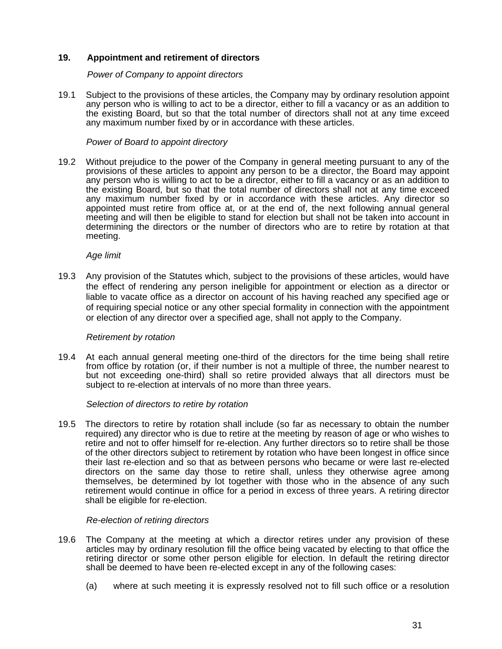# **19. Appointment and retirement of directors**

#### *Power of Company to appoint directors*

19.1 Subject to the provisions of these articles, the Company may by ordinary resolution appoint any person who is willing to act to be a director, either to fill a vacancy or as an addition to the existing Board, but so that the total number of directors shall not at any time exceed any maximum number fixed by or in accordance with these articles.

#### *Power of Board to appoint directory*

19.2 Without prejudice to the power of the Company in general meeting pursuant to any of the provisions of these articles to appoint any person to be a director, the Board may appoint any person who is willing to act to be a director, either to fill a vacancy or as an addition to the existing Board, but so that the total number of directors shall not at any time exceed any maximum number fixed by or in accordance with these articles. Any director so appointed must retire from office at, or at the end of, the next following annual general meeting and will then be eligible to stand for election but shall not be taken into account in determining the directors or the number of directors who are to retire by rotation at that meeting.

#### *Age limit*

19.3 Any provision of the Statutes which, subject to the provisions of these articles, would have the effect of rendering any person ineligible for appointment or election as a director or liable to vacate office as a director on account of his having reached any specified age or of requiring special notice or any other special formality in connection with the appointment or election of any director over a specified age, shall not apply to the Company.

## *Retirement by rotation*

19.4 At each annual general meeting one-third of the directors for the time being shall retire from office by rotation (or, if their number is not a multiple of three, the number nearest to but not exceeding one-third) shall so retire provided always that all directors must be subject to re-election at intervals of no more than three years.

#### *Selection of directors to retire by rotation*

19.5 The directors to retire by rotation shall include (so far as necessary to obtain the number required) any director who is due to retire at the meeting by reason of age or who wishes to retire and not to offer himself for re-election. Any further directors so to retire shall be those of the other directors subject to retirement by rotation who have been longest in office since their last re-election and so that as between persons who became or were last re-elected directors on the same day those to retire shall, unless they otherwise agree among themselves, be determined by lot together with those who in the absence of any such retirement would continue in office for a period in excess of three years. A retiring director shall be eligible for re-election.

#### *Re-election of retiring directors*

- 19.6 The Company at the meeting at which a director retires under any provision of these articles may by ordinary resolution fill the office being vacated by electing to that office the retiring director or some other person eligible for election. In default the retiring director shall be deemed to have been re-elected except in any of the following cases:
	- (a) where at such meeting it is expressly resolved not to fill such office or a resolution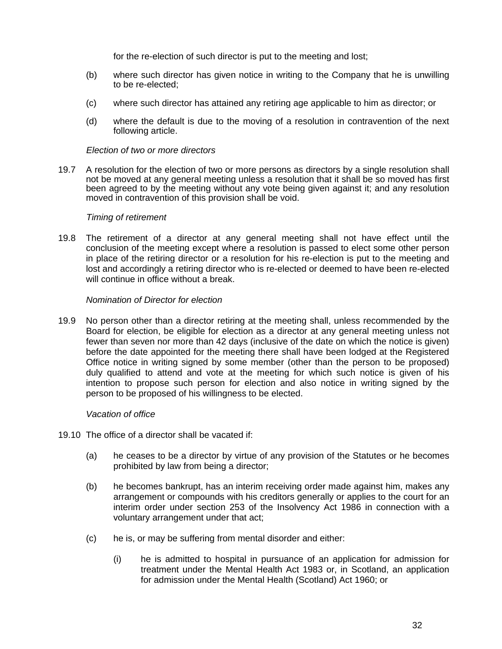for the re-election of such director is put to the meeting and lost;

- (b) where such director has given notice in writing to the Company that he is unwilling to be re-elected;
- (c) where such director has attained any retiring age applicable to him as director; or
- (d) where the default is due to the moving of a resolution in contravention of the next following article.

#### *Election of two or more directors*

19.7 A resolution for the election of two or more persons as directors by a single resolution shall not be moved at any general meeting unless a resolution that it shall be so moved has first been agreed to by the meeting without any vote being given against it; and any resolution moved in contravention of this provision shall be void.

#### *Timing of retirement*

19.8 The retirement of a director at any general meeting shall not have effect until the conclusion of the meeting except where a resolution is passed to elect some other person in place of the retiring director or a resolution for his re-election is put to the meeting and lost and accordingly a retiring director who is re-elected or deemed to have been re-elected will continue in office without a break.

#### *Nomination of Director for election*

19.9 No person other than a director retiring at the meeting shall, unless recommended by the Board for election, be eligible for election as a director at any general meeting unless not fewer than seven nor more than 42 days (inclusive of the date on which the notice is given) before the date appointed for the meeting there shall have been lodged at the Registered Office notice in writing signed by some member (other than the person to be proposed) duly qualified to attend and vote at the meeting for which such notice is given of his intention to propose such person for election and also notice in writing signed by the person to be proposed of his willingness to be elected.

## *Vacation of office*

- 19.10 The office of a director shall be vacated if:
	- (a) he ceases to be a director by virtue of any provision of the Statutes or he becomes prohibited by law from being a director;
	- (b) he becomes bankrupt, has an interim receiving order made against him, makes any arrangement or compounds with his creditors generally or applies to the court for an interim order under section 253 of the Insolvency Act 1986 in connection with a voluntary arrangement under that act;
	- (c) he is, or may be suffering from mental disorder and either:
		- (i) he is admitted to hospital in pursuance of an application for admission for treatment under the Mental Health Act 1983 or, in Scotland, an application for admission under the Mental Health (Scotland) Act 1960; or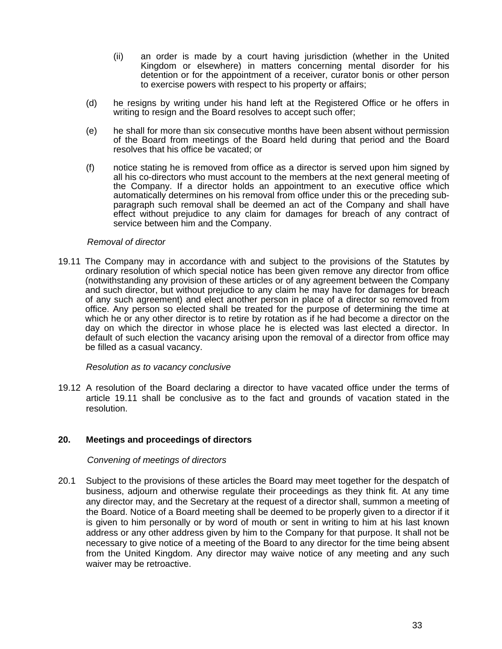- (ii) an order is made by a court having jurisdiction (whether in the United Kingdom or elsewhere) in matters concerning mental disorder for his detention or for the appointment of a receiver, curator bonis or other person to exercise powers with respect to his property or affairs;
- (d) he resigns by writing under his hand left at the Registered Office or he offers in writing to resign and the Board resolves to accept such offer;
- (e) he shall for more than six consecutive months have been absent without permission of the Board from meetings of the Board held during that period and the Board resolves that his office be vacated; or
- (f) notice stating he is removed from office as a director is served upon him signed by all his co-directors who must account to the members at the next general meeting of the Company. If a director holds an appointment to an executive office which automatically determines on his removal from office under this or the preceding subparagraph such removal shall be deemed an act of the Company and shall have effect without prejudice to any claim for damages for breach of any contract of service between him and the Company.

#### *Removal of director*

19.11 The Company may in accordance with and subject to the provisions of the Statutes by ordinary resolution of which special notice has been given remove any director from office (notwithstanding any provision of these articles or of any agreement between the Company and such director, but without prejudice to any claim he may have for damages for breach of any such agreement) and elect another person in place of a director so removed from office. Any person so elected shall be treated for the purpose of determining the time at which he or any other director is to retire by rotation as if he had become a director on the day on which the director in whose place he is elected was last elected a director. In default of such election the vacancy arising upon the removal of a director from office may be filled as a casual vacancy.

## *Resolution as to vacancy conclusive*

19.12 A resolution of the Board declaring a director to have vacated office under the terms of article 19.11 shall be conclusive as to the fact and grounds of vacation stated in the resolution.

## **20. Meetings and proceedings of directors**

#### *Convening of meetings of directors*

20.1 Subject to the provisions of these articles the Board may meet together for the despatch of business, adjourn and otherwise regulate their proceedings as they think fit. At any time any director may, and the Secretary at the request of a director shall, summon a meeting of the Board. Notice of a Board meeting shall be deemed to be properly given to a director if it is given to him personally or by word of mouth or sent in writing to him at his last known address or any other address given by him to the Company for that purpose. It shall not be necessary to give notice of a meeting of the Board to any director for the time being absent from the United Kingdom. Any director may waive notice of any meeting and any such waiver may be retroactive.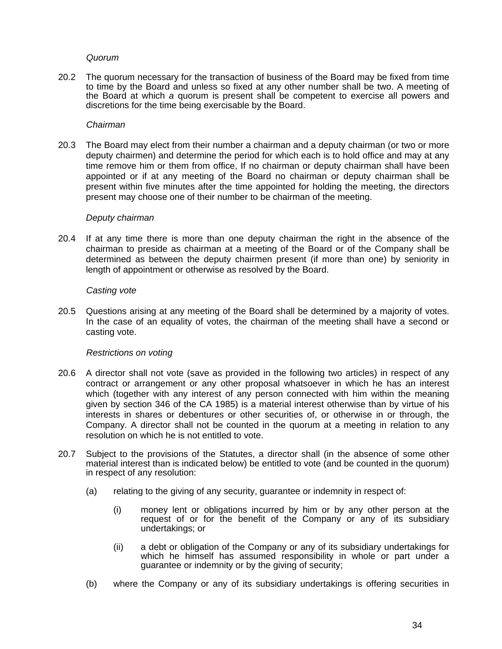#### *Quorum*

20.2 The quorum necessary for the transaction of business of the Board may be fixed from time to time by the Board and unless so fixed at any other number shall be two. A meeting of the Board at which *a* quorum is present shall be competent to exercise all powers and discretions for the time being exercisable by the Board.

#### *Chairman*

20.3 The Board may elect from their number a chairman and a deputy chairman (or two or more deputy chairmen) and determine the period for which each is to hold office and may at any time remove him or them from office, If no chairman or deputy chairman shall have been appointed or if at any meeting of the Board no chairman or deputy chairman shall be present within five minutes after the time appointed for holding the meeting, the directors present may choose one of their number to be chairman of the meeting.

#### *Deputy chairman*

20.4 If at any time there is more than one deputy chairman the right in the absence of the chairman to preside as chairman at a meeting of the Board or of the Company shall be determined as between the deputy chairmen present (if more than one) by seniority in length of appointment or otherwise as resolved by the Board.

#### *Casting vote*

20.5 Questions arising at any meeting of the Board shall be determined by a majority of votes. In the case of an equality of votes, the chairman of the meeting shall have a second or casting vote.

## *Restrictions on voting*

- 20.6 A director shall not vote (save as provided in the following two articles) in respect of any contract or arrangement or any other proposal whatsoever in which he has an interest which (together with any interest of any person connected with him within the meaning given by section 346 of the CA 1985) is a material interest otherwise than by virtue of his interests in shares or debentures or other securities of, or otherwise in or through, the Company. A director shall not be counted in the quorum at a meeting in relation to any resolution on which he is not entitled to vote.
- 20.7 Subject to the provisions of the Statutes, a director shall (in the absence of some other material interest than is indicated below) be entitled to vote (and be counted in the quorum) in respect of any resolution:
	- (a) relating to the giving of any security, guarantee or indemnity in respect of:
		- (i) money lent or obligations incurred by him or by any other person at the request of or for the benefit of the Company or any of its subsidiary undertakings; or
		- (ii) a debt or obligation of the Company or any of its subsidiary undertakings for which he himself has assumed responsibility in whole or part under a guarantee or indemnity or by the giving of security;
	- (b) where the Company or any of its subsidiary undertakings is offering securities in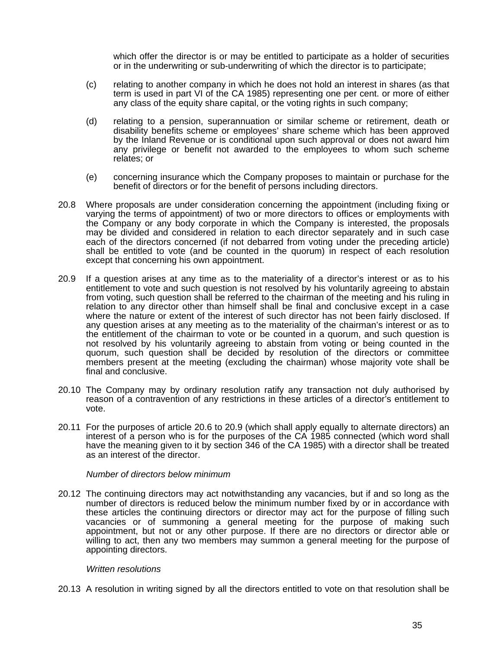which offer the director is or may be entitled to participate as a holder of securities or in the underwriting or sub-underwriting of which the director is to participate;

- (c) relating to another company in which he does not hold an interest in shares (as that term is used in part VI of the CA 1985) representing one per cent. or more of either any class of the equity share capital, or the voting rights in such company;
- (d) relating to a pension, superannuation or similar scheme or retirement, death or disability benefits scheme or employees' share scheme which has been approved by the Inland Revenue or is conditional upon such approval or does not award him any privilege or benefit not awarded to the employees to whom such scheme relates; or
- (e) concerning insurance which the Company proposes to maintain or purchase for the benefit of directors or for the benefit of persons including directors.
- 20.8 Where proposals are under consideration concerning the appointment (including fixing or varying the terms of appointment) of two or more directors to offices or employments with the Company or any body corporate in which the Company is interested, the proposals may be divided and considered in relation to each director separately and in such case each of the directors concerned (if not debarred from voting under the preceding article) shall be entitled to vote (and be counted in the quorum) in respect of each resolution except that concerning his own appointment.
- 20.9 If a question arises at any time as to the materiality of a director's interest or as to his entitlement to vote and such question is not resolved by his voluntarily agreeing to abstain from voting, such question shall be referred to the chairman of the meeting and his ruling in relation to any director other than himself shall be final and conclusive except in a case where the nature or extent of the interest of such director has not been fairly disclosed. If any question arises at any meeting as to the materiality of the chairman's interest or as to the entitlement of the chairman to vote or be counted in a quorum, and such question is not resolved by his voluntarily agreeing to abstain from voting or being counted in the quorum, such question shall be decided by resolution of the directors or committee members present at the meeting (excluding the chairman) whose majority vote shall be final and conclusive.
- 20.10 The Company may by ordinary resolution ratify any transaction not duly authorised by reason of a contravention of any restrictions in these articles of a director's entitlement to vote.
- 20.11 For the purposes of article 20.6 to 20.9 (which shall apply equally to alternate directors) an interest of a person who is for the purposes of the CA 1985 connected (which word shall have the meaning given to it by section 346 of the CA 1985) with a director shall be treated as an interest of the director.

*Number of directors below minimum* 

20.12 The continuing directors may act notwithstanding any vacancies, but if and so long as the number of directors is reduced below the minimum number fixed by or in accordance with these articles the continuing directors or director may act for the purpose of filling such vacancies or of summoning a general meeting for the purpose of making such appointment, but not or any other purpose. If there are no directors or director able or willing to act, then any two members may summon a general meeting for the purpose of appointing directors.

#### *Written resolutions*

20.13 A resolution in writing signed by all the directors entitled to vote on that resolution shall be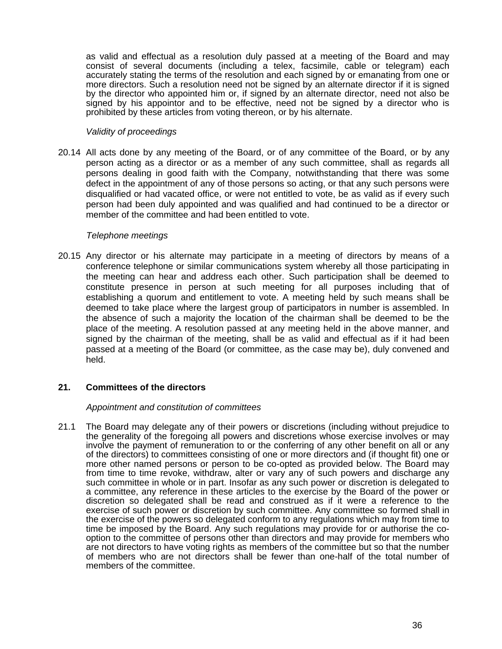as valid and effectual as a resolution duly passed at a meeting of the Board and may consist of several documents (including a telex, facsimile, cable or telegram) each accurately stating the terms of the resolution and each signed by or emanating from one or more directors. Such a resolution need not be signed by an alternate director if it is signed by the director who appointed him or, if signed by an alternate director, need not also be signed by his appointor and to be effective, need not be signed by a director who is prohibited by these articles from voting thereon, or by his alternate.

## *Validity of proceedings*

20.14 All acts done by any meeting of the Board, or of any committee of the Board, or by any person acting as a director or as a member of any such committee, shall as regards all persons dealing in good faith with the Company, notwithstanding that there was some defect in the appointment of any of those persons so acting, or that any such persons were disqualified or had vacated office, or were not entitled to vote, be as valid as if every such person had been duly appointed and was qualified and had continued to be a director or member of the committee and had been entitled to vote.

## *Telephone meetings*

20.15 Any director or his alternate may participate in a meeting of directors by means of a conference telephone or similar communications system whereby all those participating in the meeting can hear and address each other. Such participation shall be deemed to constitute presence in person at such meeting for all purposes including that of establishing a quorum and entitlement to vote. A meeting held by such means shall be deemed to take place where the largest group of participators in number is assembled. In the absence of such a majority the location of the chairman shall be deemed to be the place of the meeting. A resolution passed at any meeting held in the above manner, and signed by the chairman of the meeting, shall be as valid and effectual as if it had been passed at a meeting of the Board (or committee, as the case may be), duly convened and held.

# **21. Committees of the directors**

## *Appointment and constitution of committees*

21.1 The Board may delegate any of their powers or discretions (including without prejudice to the generality of the foregoing all powers and discretions whose exercise involves or may involve the payment of remuneration to or the conferring of any other benefit on all or any of the directors) to committees consisting of one or more directors and (if thought fit) one or more other named persons or person to be co-opted as provided below. The Board may from time to time revoke, withdraw, alter or vary any of such powers and discharge any such committee in whole or in part. Insofar as any such power or discretion is delegated to a committee, any reference in these articles to the exercise by the Board of the power or discretion so delegated shall be read and construed as if it were a reference to the exercise of such power or discretion by such committee. Any committee so formed shall in the exercise of the powers so delegated conform to any regulations which may from time to time be imposed by the Board. Any such regulations may provide for or authorise the cooption to the committee of persons other than directors and may provide for members who are not directors to have voting rights as members of the committee but so that the number of members who are not directors shall be fewer than one-half of the total number of members of the committee.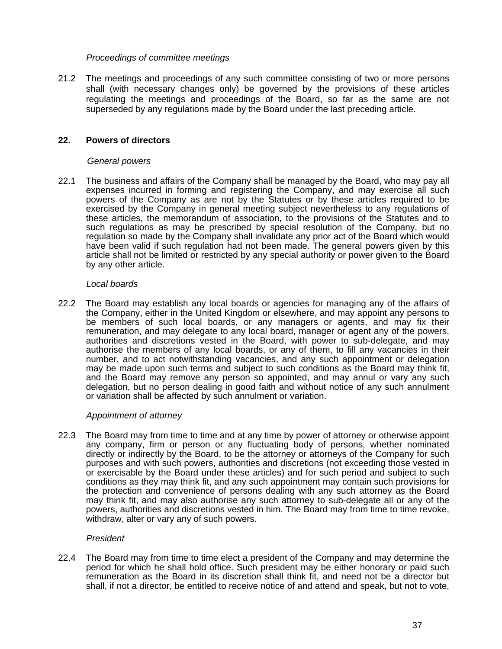## *Proceedings of committee meetings*

21.2 The meetings and proceedings of any such committee consisting of two or more persons shall (with necessary changes only) be governed by the provisions of these articles regulating the meetings and proceedings of the Board, so far as the same are not superseded by any regulations made by the Board under the last preceding article.

# **22. Powers of directors**

## *General powers*

22.1 The business and affairs of the Company shall be managed by the Board, who may pay all expenses incurred in forming and registering the Company, and may exercise all such powers of the Company as are not by the Statutes or by these articles required to be exercised by the Company in general meeting subject nevertheless to any regulations of these articles, the memorandum of association, to the provisions of the Statutes and to such regulations as may be prescribed by special resolution of the Company, but no regulation so made by the Company shall invalidate any prior act of the Board which would have been valid if such regulation had not been made. The general powers given by this article shall not be limited or restricted by any special authority or power given to the Board by any other article.

## *Local boards*

22.2 The Board may establish any local boards or agencies for managing any of the affairs of the Company, either in the United Kingdom or elsewhere, and may appoint any persons to be members of such local boards, or any managers or agents, and may fix their remuneration, and may delegate to any local board, manager or agent any of the powers, authorities and discretions vested in the Board, with power to sub-delegate, and may authorise the members of any local boards, or any of them, to fill any vacancies in their number, and to act notwithstanding vacancies, and any such appointment or delegation may be made upon such terms and subject to such conditions as the Board may think fit, and the Board may remove any person so appointed, and may annul or vary any such delegation, but no person dealing in good faith and without notice of any such annulment or variation shall be affected by such annulment or variation.

## *Appointment of attorney*

22.3 The Board may from time to time and at any time by power of attorney or otherwise appoint any company, firm or person or any fluctuating body of persons, whether nominated directly or indirectly by the Board, to be the attorney or attorneys of the Company for such purposes and with such powers, authorities and discretions (not exceeding those vested in or exercisable by the Board under these articles) and for such period and subject to such conditions as they may think fit, and any such appointment may contain such provisions for the protection and convenience of persons dealing with any such attorney as the Board may think fit, and may also authorise any such attorney to sub-delegate all or any of the powers, authorities and discretions vested in him. The Board may from time to time revoke, withdraw, alter or vary any of such powers.

# *President*

22.4 The Board may from time to time elect a president of the Company and may determine the period for which he shall hold office. Such president may be either honorary or paid such remuneration as the Board in its discretion shall think fit, and need not be a director but shall, if not a director, be entitled to receive notice of and attend and speak, but not to vote,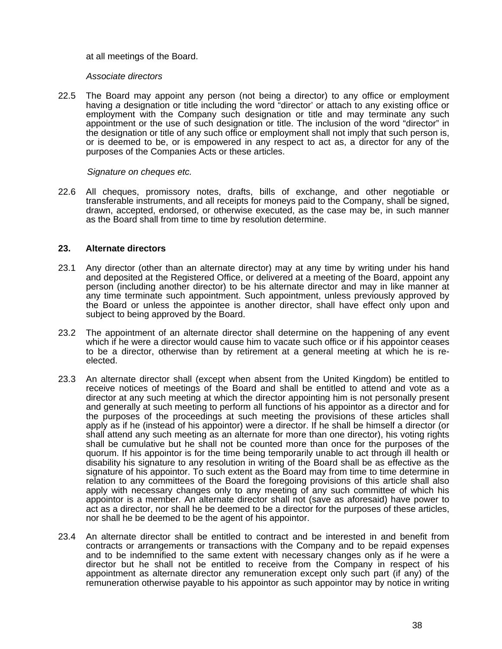#### at all meetings of the Board.

#### *Associate directors*

22.5 The Board may appoint any person (not being a director) to any office or employment having *a* designation or title including the word "director' or attach to any existing office or employment with the Company such designation or title and may terminate any such appointment or the use of such designation or title. The inclusion of the word "director" in the designation or title of any such office or employment shall not imply that such person is, or is deemed to be, or is empowered in any respect to act as, a director for any of the purposes of the Companies Acts or these articles.

#### *Signature on cheques etc.*

22.6 All cheques, promissory notes, drafts, bills of exchange, and other negotiable or transferable instruments, and all receipts for moneys paid to the Company, shall be signed, drawn, accepted, endorsed, or otherwise executed, as the case may be, in such manner as the Board shall from time to time by resolution determine.

## **23. Alternate directors**

- 23.1 Any director (other than an alternate director) may at any time by writing under his hand and deposited at the Registered Office, or delivered at a meeting of the Board, appoint any person (including another director) to be his alternate director and may in like manner at any time terminate such appointment. Such appointment, unless previously approved by the Board or unless the appointee is another director, shall have effect only upon and subject to being approved by the Board.
- 23.2 The appointment of an alternate director shall determine on the happening of any event which if he were a director would cause him to vacate such office or if his appointor ceases to be a director, otherwise than by retirement at a general meeting at which he is reelected.
- 23.3 An alternate director shall (except when absent from the United Kingdom) be entitled to receive notices of meetings of the Board and shall be entitled to attend and vote as a director at any such meeting at which the director appointing him is not personally present and generally at such meeting to perform all functions of his appointor as a director and for the purposes of the proceedings at such meeting the provisions of these articles shall apply as if he (instead of his appointor) were a director. If he shall be himself a director (or shall attend any such meeting as an alternate for more than one director), his voting rights shall be cumulative but he shall not be counted more than once for the purposes of the quorum. If his appointor is for the time being temporarily unable to act through ill health or disability his signature to any resolution in writing of the Board shall be as effective as the signature of his appointor. To such extent as the Board may from time to time determine in relation to any committees of the Board the foregoing provisions of this article shall also apply with necessary changes only to any meeting of any such committee of which his appointor is a member. An alternate director shall not (save as aforesaid) have power to act as a director, nor shall he be deemed to be a director for the purposes of these articles, nor shall he be deemed to be the agent of his appointor.
- 23.4 An alternate director shall be entitled to contract and be interested in and benefit from contracts or arrangements or transactions with the Company and to be repaid expenses and to be indemnified to the same extent with necessary changes only as if he were a director but he shall not be entitled to receive from the Company in respect of his appointment as alternate director any remuneration except only such part (if any) of the remuneration otherwise payable to his appointor as such appointor may by notice in writing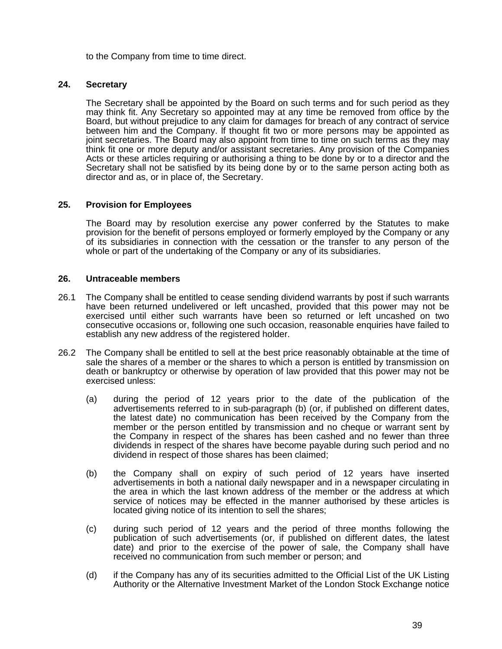to the Company from time to time direct.

# **24. Secretary**

The Secretary shall be appointed by the Board on such terms and for such period as they may think fit. Any Secretary so appointed may at any time be removed from office by the Board, but without prejudice to any claim for damages for breach of any contract of service between him and the Company. lf thought fit two or more persons may be appointed as joint secretaries. The Board may also appoint from time to time on such terms as they may think fit one or more deputy and/or assistant secretaries. Any provision of the Companies Acts or these articles requiring or authorising a thing to be done by or to a director and the Secretary shall not be satisfied by its being done by or to the same person acting both as director and as, or in place of, the Secretary.

# **25. Provision for Employees**

The Board may by resolution exercise any power conferred by the Statutes to make provision for the benefit of persons employed or formerly employed by the Company or any of its subsidiaries in connection with the cessation or the transfer to any person of the whole or part of the undertaking of the Company or any of its subsidiaries.

## **26. Untraceable members**

- 26.1 The Company shall be entitled to cease sending dividend warrants by post if such warrants have been returned undelivered or left uncashed, provided that this power may not be exercised until either such warrants have been so returned or left uncashed on two consecutive occasions or, following one such occasion, reasonable enquiries have failed to establish any new address of the registered holder.
- 26.2 The Company shall be entitled to sell at the best price reasonably obtainable at the time of sale the shares of a member or the shares to which a person is entitled by transmission on death or bankruptcy or otherwise by operation of law provided that this power may not be exercised unless:
	- (a) during the period of 12 years prior to the date of the publication of the advertisements referred to in sub-paragraph (b) (or, if published on different dates, the latest date) no communication has been received by the Company from the member or the person entitled by transmission and no cheque or warrant sent by the Company in respect of the shares has been cashed and no fewer than three dividends in respect of the shares have become payable during such period and no dividend in respect of those shares has been claimed;
	- (b) the Company shall on expiry of such period of 12 years have inserted advertisements in both a national daily newspaper and in a newspaper circulating in the area in which the last known address of the member or the address at which service of notices may be effected in the manner authorised by these articles is located giving notice of its intention to sell the shares;
	- (c) during such period of 12 years and the period of three months following the publication of such advertisements (or, if published on different dates, the latest date) and prior to the exercise of the power of sale, the Company shall have received no communication from such member or person; and
	- (d) if the Company has any of its securities admitted to the Official List of the UK Listing Authority or the Alternative Investment Market of the London Stock Exchange notice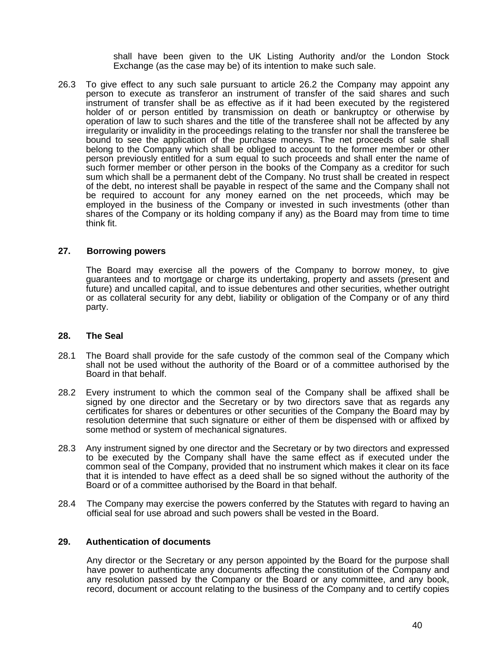shall have been given to the UK Listing Authority and/or the London Stock Exchange (as the case may be) of its intention to make such sale.

26.3 To give effect to any such sale pursuant to article 26.2 the Company may appoint any person to execute as transferor an instrument of transfer of the said shares and such instrument of transfer shall be as effective as if it had been executed by the registered holder of or person entitled by transmission on death or bankruptcy or otherwise by operation of law to such shares and the title of the transferee shall not be affected by any irregularity or invalidity in the proceedings relating to the transfer nor shall the transferee be bound to see the application of the purchase moneys. The net proceeds of sale shall belong to the Company which shall be obliged to account to the former member or other person previously entitled for a sum equal to such proceeds and shall enter the name of such former member or other person in the books of the Company as a creditor for such sum which shall be a permanent debt of the Company. No trust shall be created in respect of the debt, no interest shall be payable in respect of the same and the Company shall not be required to account for any money earned on the net proceeds, which may be employed in the business of the Company or invested in such investments (other than shares of the Company or its holding company if any) as the Board may from time to time think fit.

#### **27. Borrowing powers**

The Board may exercise all the powers of the Company to borrow money, to give guarantees and to mortgage or charge its undertaking, property and assets (present and future) and uncalled capital, and to issue debentures and other securities, whether outright or as collateral security for any debt, liability or obligation of the Company or of any third party.

#### **28. The Seal**

- 28.1 The Board shall provide for the safe custody of the common seal of the Company which shall not be used without the authority of the Board or of a committee authorised by the Board in that behalf.
- 28.2 Every instrument to which the common seal of the Company shall be affixed shall be signed by one director and the Secretary or by two directors save that as regards any certificates for shares or debentures or other securities of the Company the Board may by resolution determine that such signature or either of them be dispensed with or affixed by some method or system of mechanical signatures.
- 28.3 Any instrument signed by one director and the Secretary or by two directors and expressed to be executed by the Company shall have the same effect as if executed under the common seal of the Company, provided that no instrument which makes it clear on its face that it is intended to have effect as a deed shall be so signed without the authority of the Board or of a committee authorised by the Board in that behalf.
- 28.4 The Company may exercise the powers conferred by the Statutes with regard to having an official seal for use abroad and such powers shall be vested in the Board.

#### **29. Authentication of documents**

Any director or the Secretary or any person appointed by the Board for the purpose shall have power to authenticate any documents affecting the constitution of the Company and any resolution passed by the Company or the Board or any committee, and any book, record, document or account relating to the business of the Company and to certify copies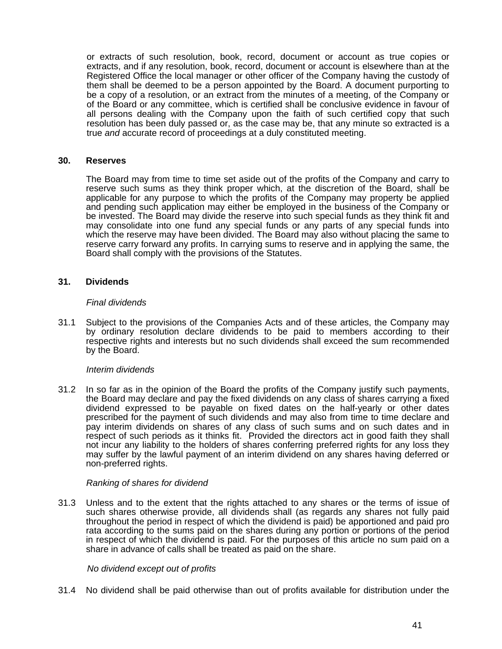or extracts of such resolution, book, record, document or account as true copies or extracts, and if any resolution, book, record, document or account is elsewhere than at the Registered Office the local manager or other officer of the Company having the custody of them shall be deemed to be a person appointed by the Board. A document purporting to be a copy of a resolution, or an extract from the minutes of a meeting, of the Company or of the Board or any committee, which is certified shall be conclusive evidence in favour of all persons dealing with the Company upon the faith of such certified copy that such resolution has been duly passed or, as the case may be, that any minute so extracted is a true *and* accurate record of proceedings at a duly constituted meeting.

#### **30. Reserves**

The Board may from time to time set aside out of the profits of the Company and carry to reserve such sums as they think proper which, at the discretion of the Board, shall be applicable for any purpose to which the profits of the Company may property be applied and pending such application may either be employed in the business of the Company or be invested. The Board may divide the reserve into such special funds as they think fit and may consolidate into one fund any special funds or any parts of any special funds into which the reserve may have been divided. The Board may also without placing the same to reserve carry forward any profits. In carrying sums to reserve and in applying the same, the Board shall comply with the provisions of the Statutes.

# **31. Dividends**

#### *Final dividends*

31.1 Subject to the provisions of the Companies Acts and of these articles, the Company may by ordinary resolution declare dividends to be paid to members according to their respective rights and interests but no such dividends shall exceed the sum recommended by the Board.

#### *Interim dividends*

31.2 In so far as in the opinion of the Board the profits of the Company justify such payments, the Board may declare and pay the fixed dividends on any class of shares carrying a fixed dividend expressed to be payable on fixed dates on the half-yearly or other dates prescribed for the payment of such dividends and may also from time to time declare and pay interim dividends on shares of any class of such sums and on such dates and in respect of such periods as it thinks fit. Provided the directors act in good faith they shall not incur any liability to the holders of shares conferring preferred rights for any loss they may suffer by the lawful payment of an interim dividend on any shares having deferred or non-preferred rights.

## *Ranking of shares for dividend*

31.3 Unless and to the extent that the rights attached to any shares or the terms of issue of such shares otherwise provide, all dividends shall (as regards any shares not fully paid throughout the period in respect of which the dividend is paid) be apportioned and paid pro rata according to the sums paid on the shares during any portion or portions of the period in respect of which the dividend is paid. For the purposes of this article no sum paid on a share in advance of calls shall be treated as paid on the share.

#### *No dividend except out of profits*

31.4 No dividend shall be paid otherwise than out of profits available for distribution under the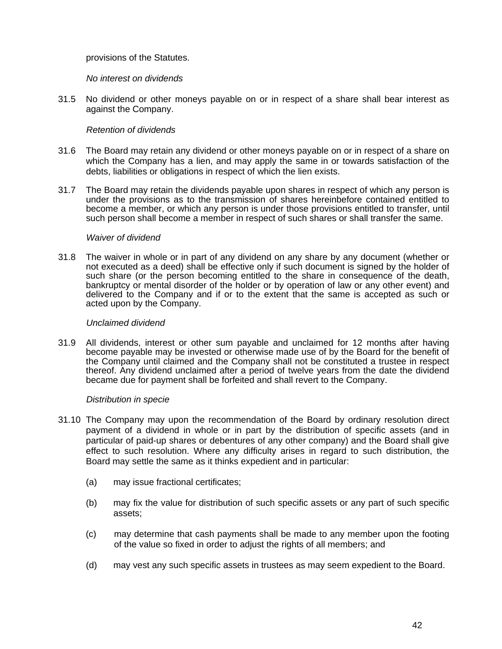# provisions of the Statutes.

## *No interest on dividends*

31.5 No dividend or other moneys payable on or in respect of a share shall bear interest as against the Company.

# *Retention of dividends*

- 31.6 The Board may retain any dividend or other moneys payable on or in respect of a share on which the Company has a lien, and may apply the same in or towards satisfaction of the debts, liabilities or obligations in respect of which the lien exists.
- 31.7 The Board may retain the dividends payable upon shares in respect of which any person is under the provisions as to the transmission of shares hereinbefore contained entitled to become a member, or which any person is under those provisions entitled to transfer, until such person shall become a member in respect of such shares or shall transfer the same.

## *Waiver of dividend*

31.8 The waiver in whole or in part of any dividend on any share by any document (whether or not executed as a deed) shall be effective only if such document is signed by the holder of such share (or the person becoming entitled to the share in consequence of the death, bankruptcy or mental disorder of the holder or by operation of law or any other event) and delivered to the Company and if or to the extent that the same is accepted as such or acted upon by the Company.

#### *Unclaimed dividend*

31.9 All dividends, interest or other sum payable and unclaimed for 12 months after having become payable may be invested or otherwise made use of by the Board for the benefit of the Company until claimed and the Company shall not be constituted a trustee in respect thereof. Any dividend unclaimed after a period of twelve years from the date the dividend became due for payment shall be forfeited and shall revert to the Company.

## *Distribution in specie*

- 31.10 The Company may upon the recommendation of the Board by ordinary resolution direct payment of a dividend in whole or in part by the distribution of specific assets (and in particular of paid-up shares or debentures of any other company) and the Board shall give effect to such resolution. Where any difficulty arises in regard to such distribution, the Board may settle the same as it thinks expedient and in particular:
	- (a) may issue fractional certificates;
	- (b) may fix the value for distribution of such specific assets or any part of such specific assets;
	- (c) may determine that cash payments shall be made to any member upon the footing of the value so fixed in order to adjust the rights of all members; and
	- (d) may vest any such specific assets in trustees as may seem expedient to the Board.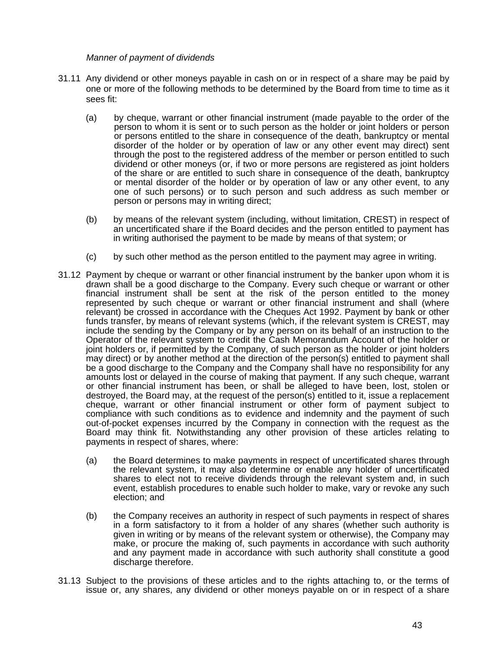*Manner of payment of dividends* 

- 31.11 Any dividend or other moneys payable in cash on or in respect of a share may be paid by one or more of the following methods to be determined by the Board from time to time as it sees fit:
	- (a) by cheque, warrant or other financial instrument (made payable to the order of the person to whom it is sent or to such person as the holder or joint holders or person or persons entitled to the share in consequence of the death, bankruptcy or mental disorder of the holder or by operation of law or any other event may direct) sent through the post to the registered address of the member or person entitled to such dividend or other moneys (or, if two or more persons are registered as joint holders of the share or are entitled to such share in consequence of the death, bankruptcy or mental disorder of the holder or by operation of law or any other event, to any one of such persons) or to such person and such address as such member or person or persons may in writing direct;
	- (b) by means of the relevant system (including, without limitation, CREST) in respect of an uncertificated share if the Board decides and the person entitled to payment has in writing authorised the payment to be made by means of that system; or
	- (c) by such other method as the person entitled to the payment may agree in writing.
- 31.12 Payment by cheque or warrant or other financial instrument by the banker upon whom it is drawn shall be a good discharge to the Company. Every such cheque or warrant or other financial instrument shall be sent at the risk of the person entitled to the money represented by such cheque or warrant or other financial instrument and shall (where relevant) be crossed in accordance with the Cheques Act 1992. Payment by bank or other funds transfer, by means of relevant systems (which, if the relevant system is CREST, may include the sending by the Company or by any person on its behalf of an instruction to the Operator of the relevant system to credit the Cash Memorandum Account of the holder or joint holders or, if permitted by the Company, of such person as the holder or joint holders may direct) or by another method at the direction of the person(s) entitled to payment shall be a good discharge to the Company and the Company shall have no responsibility for any amounts lost or delayed in the course of making that payment. If any such cheque, warrant or other financial instrument has been, or shall be alleged to have been, lost, stolen or destroyed, the Board may, at the request of the person(s) entitled to it, issue a replacement cheque, warrant or other financial instrument or other form of payment subject to compliance with such conditions as to evidence and indemnity and the payment of such out-of-pocket expenses incurred by the Company in connection with the request as the Board may think fit. Notwithstanding any other provision of these articles relating to payments in respect of shares, where:
	- (a) the Board determines to make payments in respect of uncertificated shares through the relevant system, it may also determine or enable any holder of uncertificated shares to elect not to receive dividends through the relevant system and, in such event, establish procedures to enable such holder to make, vary or revoke any such election; and
	- (b) the Company receives an authority in respect of such payments in respect of shares in a form satisfactory to it from a holder of any shares (whether such authority is given in writing or by means of the relevant system or otherwise), the Company may make, or procure the making of, such payments in accordance with such authority and any payment made in accordance with such authority shall constitute a good discharge therefore.
- 31.13 Subject to the provisions of these articles and to the rights attaching to, or the terms of issue or, any shares, any dividend or other moneys payable on or in respect of a share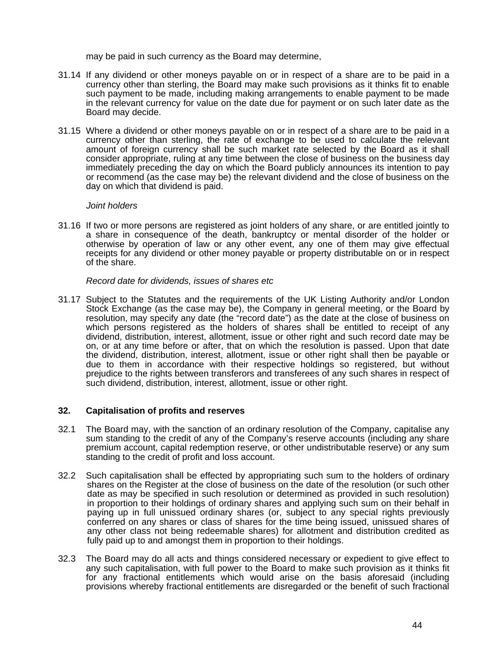may be paid in such currency as the Board may determine,

- 31.14 If any dividend or other moneys payable on or in respect of a share are to be paid in a currency other than sterling, the Board may make such provisions as it thinks fit to enable such payment to be made, including making arrangements to enable payment to be made in the relevant currency for value on the date due for payment or on such later date as the Board may decide.
- 31.15 Where a dividend or other moneys payable on or in respect of a share are to be paid in a currency other than sterling, the rate of exchange to be used to calculate the relevant amount of foreign currency shall be such market rate selected by the Board as it shall consider appropriate, ruling at any time between the close of business on the business day immediately preceding the day on which the Board publicly announces its intention to pay or recommend (as the case may be) the relevant dividend and the close of business on the day on which that dividend is paid.

## *Joint holders*

31.16 If two or more persons are registered as joint holders of any share, or are entitled jointly to a share in consequence of the death, bankruptcy or mental disorder of the holder or otherwise by operation of law or any other event, any one of them may give effectual receipts for any dividend or other money payable or property distributable on or in respect of the share.

## *Record date for dividends, issues of shares etc*

31.17 Subject to the Statutes and the requirements of the UK Listing Authority and/or London Stock Exchange (as the case may be), the Company in general meeting, or the Board by resolution, may specify any date (the "record date") as the date at the close of business on which persons registered as the holders of shares shall be entitled to receipt of any dividend, distribution, interest, allotment, issue or other right and such record date may be on, or at any time before or after, that on which the resolution is passed. Upon that date the dividend, distribution, interest, allotment, issue or other right shall then be payable or due to them in accordance with their respective holdings so registered, but without prejudice to the rights between transferors and transferees of any such shares in respect of such dividend, distribution, interest, allotment, issue or other right.

# **32. Capitalisation of profits and reserves**

- 32.1 The Board may, with the sanction of an ordinary resolution of the Company, capitalise any sum standing to the credit of any of the Company's reserve accounts (including any share premium account, capital redemption reserve, or other undistributable reserve) or any sum standing to the credit of profit and loss account.
- 32.2 Such capitalisation shall be effected by appropriating such sum to the holders of ordinary shares on the Register at the close of business on the date of the resolution (or such other date as may be specified in such resolution or determined as provided in such resolution) in proportion to their holdings of ordinary shares and applying such sum on their behalf in paying up in full unissued ordinary shares (or, subject to any special rights previously conferred on any shares or class of shares for the time being issued, unissued shares of any other class not being redeemable shares) for allotment and distribution credited as fully paid up to and amongst them in proportion to their holdings.
- 32.3 The Board may do all acts and things considered necessary or expedient to give effect to any such capitalisation, with full power to the Board to make such provision as it thinks fit for any fractional entitlements which would arise on the basis aforesaid (including provisions whereby fractional entitlements are disregarded or the benefit of such fractional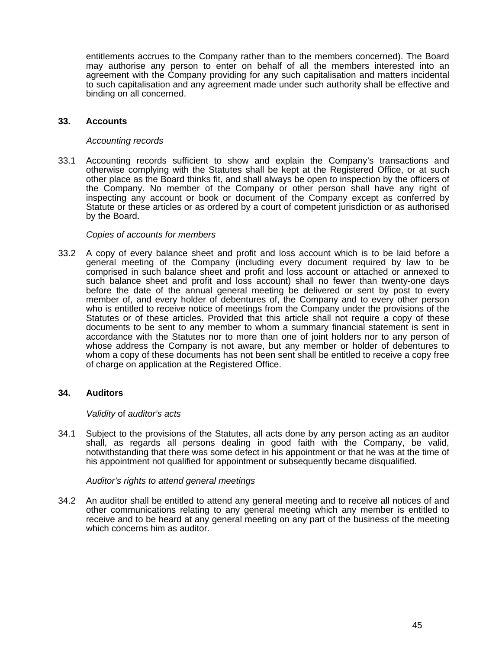entitlements accrues to the Company rather than to the members concerned). The Board may authorise any person to enter on behalf of all the members interested into an agreement with the Company providing for any such capitalisation and matters incidental to such capitalisation and any agreement made under such authority shall be effective and binding on all concerned.

## **33. Accounts**

## *Accounting records*

33.1 Accounting records sufficient to show and explain the Company's transactions and otherwise complying with the Statutes shall be kept at the Registered Office, or at such other place as the Board thinks fit, and shall always be open to inspection by the officers of the Company. No member of the Company or other person shall have any right of inspecting any account or book or document of the Company except as conferred by Statute or these articles or as ordered by a court of competent jurisdiction or as authorised by the Board.

## *Copies of accounts for members*

33.2 A copy of every balance sheet and profit and loss account which is to be laid before a general meeting of the Company (including every document required by law to be comprised in such balance sheet and profit and loss account or attached or annexed to such balance sheet and profit and loss account) shall no fewer than twenty-one days before the date of the annual general meeting be delivered or sent by post to every member of, and every holder of debentures of, the Company and to every other person who is entitled to receive notice of meetings from the Company under the provisions of the Statutes or of these articles. Provided that this article shall not require a copy of these documents to be sent to any member to whom a summary financial statement is sent in accordance with the Statutes nor to more than one of joint holders nor to any person of whose address the Company is not aware, but any member or holder of debentures to whom a copy of these documents has not been sent shall be entitled to receive a copy free of charge on application at the Registered Office.

## **34. Auditors**

#### *Validity* of *auditor's acts*

34.1 Subject to the provisions of the Statutes, all acts done by any person acting as an auditor shall, as regards all persons dealing in good faith with the Company, be valid, notwithstanding that there was some defect in his appointment or that he was at the time of his appointment not qualified for appointment or subsequently became disqualified.

#### *Auditor's rights to attend general meetings*

34.2 An auditor shall be entitled to attend any general meeting and to receive all notices of and other communications relating to any general meeting which any member is entitled to receive and to be heard at any general meeting on any part of the business of the meeting which concerns him as auditor.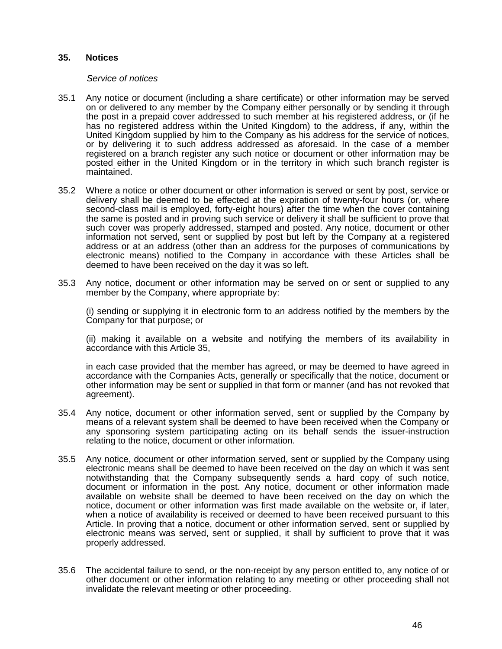#### **35. Notices**

#### *Service of notices*

- 35.1 Any notice or document (including a share certificate) or other information may be served on or delivered to any member by the Company either personally or by sending it through the post in a prepaid cover addressed to such member at his registered address, or (if he has no registered address within the United Kingdom) to the address, if any, within the United Kingdom supplied by him to the Company as his address for the service of notices, or by delivering it to such address addressed as aforesaid. In the case of a member registered on a branch register any such notice or document or other information may be posted either in the United Kingdom or in the territory in which such branch register is maintained.
- 35.2 Where a notice or other document or other information is served or sent by post, service or delivery shall be deemed to be effected at the expiration of twenty-four hours (or, where second-class mail is employed, forty-eight hours) after the time when the cover containing the same is posted and in proving such service or delivery it shall be sufficient to prove that such cover was properly addressed, stamped and posted. Any notice, document or other information not served, sent or supplied by post but left by the Company at a registered address or at an address (other than an address for the purposes of communications by electronic means) notified to the Company in accordance with these Articles shall be deemed to have been received on the day it was so left.
- 35.3 Any notice, document or other information may be served on or sent or supplied to any member by the Company, where appropriate by:

 (i) sending or supplying it in electronic form to an address notified by the members by the Company for that purpose; or

 (ii) making it available on a website and notifying the members of its availability in accordance with this Article 35,

 in each case provided that the member has agreed, or may be deemed to have agreed in accordance with the Companies Acts, generally or specifically that the notice, document or other information may be sent or supplied in that form or manner (and has not revoked that agreement).

- 35.4 Any notice, document or other information served, sent or supplied by the Company by means of a relevant system shall be deemed to have been received when the Company or any sponsoring system participating acting on its behalf sends the issuer-instruction relating to the notice, document or other information.
- 35.5 Any notice, document or other information served, sent or supplied by the Company using electronic means shall be deemed to have been received on the day on which it was sent notwithstanding that the Company subsequently sends a hard copy of such notice, document or information in the post. Any notice, document or other information made available on website shall be deemed to have been received on the day on which the notice, document or other information was first made available on the website or, if later, when a notice of availability is received or deemed to have been received pursuant to this Article. In proving that a notice, document or other information served, sent or supplied by electronic means was served, sent or supplied, it shall by sufficient to prove that it was properly addressed.
- 35.6 The accidental failure to send, or the non-receipt by any person entitled to, any notice of or other document or other information relating to any meeting or other proceeding shall not invalidate the relevant meeting or other proceeding.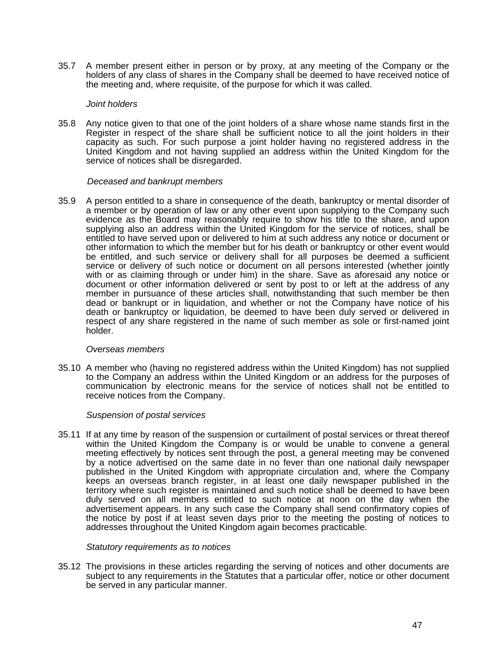35.7 A member present either in person or by proxy, at any meeting of the Company or the holders of any class of shares in the Company shall be deemed to have received notice of the meeting and, where requisite, of the purpose for which it was called.

#### *Joint holders*

35.8 Any notice given to that one of the joint holders of a share whose name stands first in the Register in respect of the share shall be sufficient notice to all the joint holders in their capacity as such. For such purpose a joint holder having no registered address in the United Kingdom and not having supplied an address within the United Kingdom for the service of notices shall be disregarded.

#### *Deceased and bankrupt members*

35.9 A person entitled to a share in consequence of the death, bankruptcy or mental disorder of a member or by operation of law or any other event upon supplying to the Company such evidence as the Board may reasonably require to show his title to the share, and upon supplying also an address within the United Kingdom for the service of notices, shall be entitled to have served upon or delivered to him at such address any notice or document or other information to which the member but for his death or bankruptcy or other event would be entitled, and such service or delivery shall for all purposes be deemed a sufficient service or delivery of such notice or document on all persons interested (whether jointly with or as claiming through or under him) in the share. Save as aforesaid any notice or document or other information delivered or sent by post to or left at the address of any member in pursuance of these articles shall, notwithstanding that such member be then dead or bankrupt or in liquidation, and whether or not the Company have notice of his death or bankruptcy or liquidation, be deemed to have been duly served or delivered in respect of any share registered in the name of such member as sole or first-named joint holder.

#### *Overseas members*

35.10 A member who (having no registered address within the United Kingdom) has not supplied to the Company an address within the United Kingdom or an address for the purposes of communication by electronic means for the service of notices shall not be entitled to receive notices from the Company.

## *Suspension of postal services*

35.11 If at any time by reason of the suspension or curtailment of postal services or threat thereof within the United Kingdom the Company is or would be unable to convene a general meeting effectively by notices sent through the post, a general meeting may be convened by a notice advertised on the same date in no fever than one national daily newspaper published in the United Kingdom with appropriate circulation and, where the Company keeps an overseas branch register, in at least one daily newspaper published in the territory where such register is maintained and such notice shall be deemed to have been duly served on all members entitled to such notice at noon on the day when the advertisement appears. In any such case the Company shall send confirmatory copies of the notice by post if at least seven days prior to the meeting the posting of notices to addresses throughout the United Kingdom again becomes practicable.

#### *Statutory requirements as to notices*

35.12 The provisions in these articles regarding the serving of notices and other documents are subject to any requirements in the Statutes that a particular offer, notice or other document be served in any particular manner.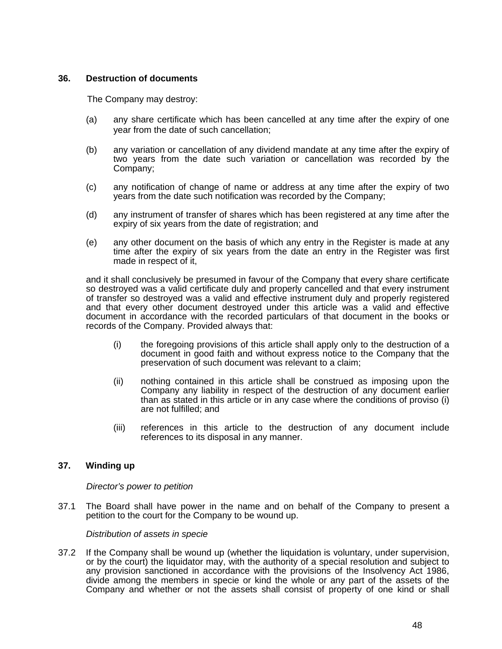# **36. Destruction of documents**

The Company may destroy:

- (a) any share certificate which has been cancelled at any time after the expiry of one year from the date of such cancellation;
- (b) any variation or cancellation of any dividend mandate at any time after the expiry of two years from the date such variation or cancellation was recorded by the Company;
- (c) any notification of change of name or address at any time after the expiry of two years from the date such notification was recorded by the Company;
- (d) any instrument of transfer of shares which has been registered at any time after the expiry of six years from the date of registration; and
- (e) any other document on the basis of which any entry in the Register is made at any time after the expiry of six years from the date an entry in the Register was first made in respect of it,

and it shall conclusively be presumed in favour of the Company that every share certificate so destroyed was a valid certificate duly and properly cancelled and that every instrument of transfer so destroyed was a valid and effective instrument duly and properly registered and that every other document destroyed under this article was a valid and effective document in accordance with the recorded particulars of that document in the books or records of the Company. Provided always that:

- (i) the foregoing provisions of this article shall apply only to the destruction of a document in good faith and without express notice to the Company that the preservation of such document was relevant to a claim;
- (ii) nothing contained in this article shall be construed as imposing upon the Company any liability in respect of the destruction of any document earlier than as stated in this article or in any case where the conditions of proviso (i) are not fulfilled; and
- (iii) references in this article to the destruction of any document include references to its disposal in any manner.

# **37. Winding up**

*Director's power to petition* 

37.1 The Board shall have power in the name and on behalf of the Company to present a petition to the court for the Company to be wound up.

*Distribution of assets in specie* 

37.2 If the Company shall be wound up (whether the liquidation is voluntary, under supervision, or by the court) the liquidator may, with the authority of a special resolution and subject to any provision sanctioned in accordance with the provisions of the Insolvency Act 1986, divide among the members in specie or kind the whole or any part of the assets of the Company and whether or not the assets shall consist of property of one kind or shall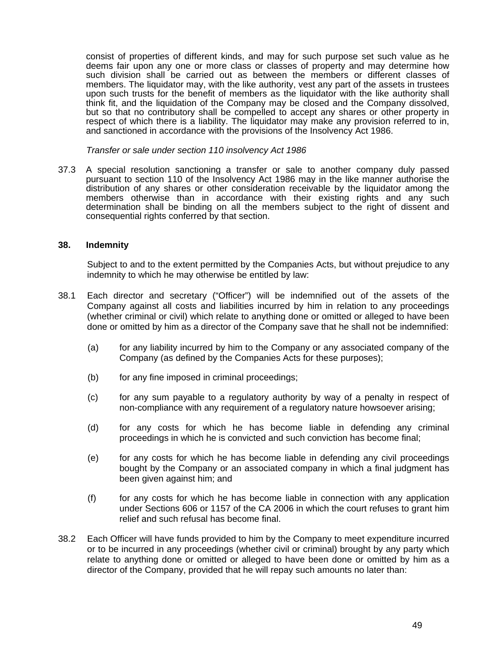consist of properties of different kinds, and may for such purpose set such value as he deems fair upon any one or more class or classes of property and may determine how such division shall be carried out as between the members or different classes of members. The liquidator may, with the like authority, vest any part of the assets in trustees upon such trusts for the benefit of members as the liquidator with the like authority shall think fit, and the liquidation of the Company may be closed and the Company dissolved, but so that no contributory shall be compelled to accept any shares or other property in respect of which there is a liability. The liquidator may make any provision referred to in, and sanctioned in accordance with the provisions of the Insolvency Act 1986.

*Transfer or sale under section 110 insolvency Act 1986* 

37.3 A special resolution sanctioning a transfer or sale to another company duly passed pursuant to section 110 of the Insolvency Act 1986 may in the like manner authorise the distribution of any shares or other consideration receivable by the liquidator among the members otherwise than in accordance with their existing rights and any such determination shall be binding on all the members subject to the right of dissent and consequential rights conferred by that section.

## **38. Indemnity**

Subject to and to the extent permitted by the Companies Acts, but without prejudice to any indemnity to which he may otherwise be entitled by law:

- 38.1 Each director and secretary ("Officer") will be indemnified out of the assets of the Company against all costs and liabilities incurred by him in relation to any proceedings (whether criminal or civil) which relate to anything done or omitted or alleged to have been done or omitted by him as a director of the Company save that he shall not be indemnified:
	- (a) for any liability incurred by him to the Company or any associated company of the Company (as defined by the Companies Acts for these purposes);
	- (b) for any fine imposed in criminal proceedings;
	- (c) for any sum payable to a regulatory authority by way of a penalty in respect of non-compliance with any requirement of a regulatory nature howsoever arising;
	- (d) for any costs for which he has become liable in defending any criminal proceedings in which he is convicted and such conviction has become final;
	- (e) for any costs for which he has become liable in defending any civil proceedings bought by the Company or an associated company in which a final judgment has been given against him; and
	- (f) for any costs for which he has become liable in connection with any application under Sections 606 or 1157 of the CA 2006 in which the court refuses to grant him relief and such refusal has become final.
- 38.2 Each Officer will have funds provided to him by the Company to meet expenditure incurred or to be incurred in any proceedings (whether civil or criminal) brought by any party which relate to anything done or omitted or alleged to have been done or omitted by him as a director of the Company, provided that he will repay such amounts no later than: